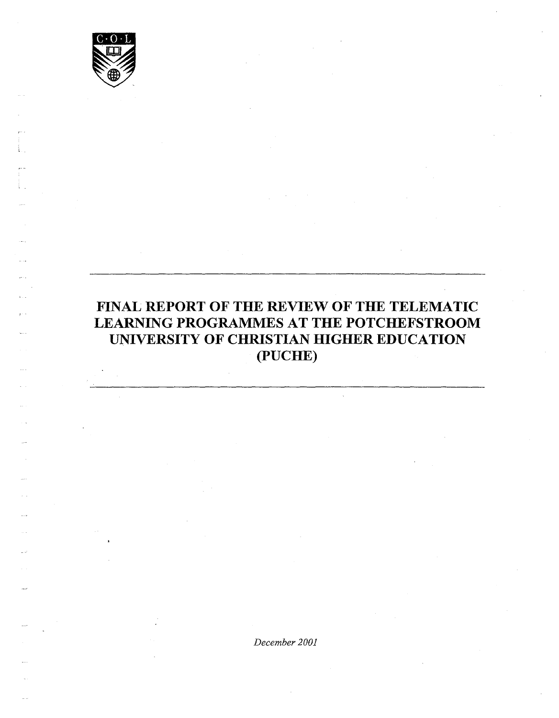

l \_

## **FINAL REPORT OF THE REVIEW OF THE TELEMATIC LEARNING PROGRAMMES AT THE POTCHEFSTROOM UNIVERSITY OF CHRISTIAN HIGHER EDUCATION (PUCHE)**

*December 2001*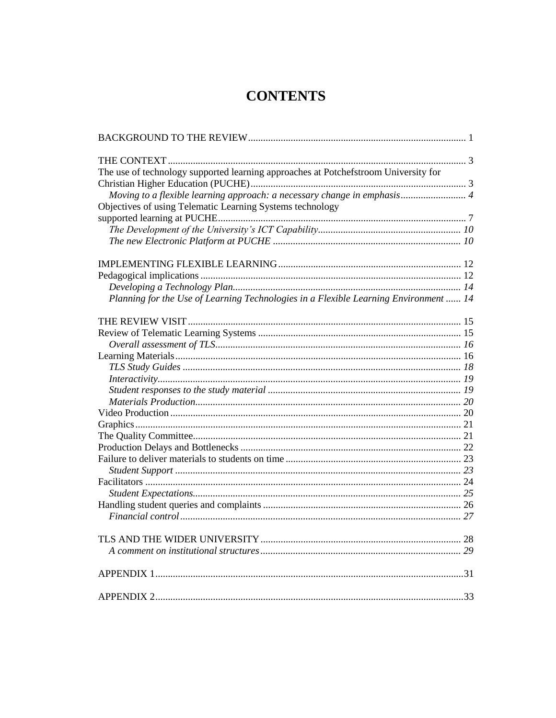# **CONTENTS**

| The use of technology supported learning approaches at Potchefstroom University for  |  |
|--------------------------------------------------------------------------------------|--|
|                                                                                      |  |
| Moving to a flexible learning approach: a necessary change in emphasis 4             |  |
| Objectives of using Telematic Learning Systems technology                            |  |
|                                                                                      |  |
|                                                                                      |  |
|                                                                                      |  |
|                                                                                      |  |
|                                                                                      |  |
|                                                                                      |  |
|                                                                                      |  |
| Planning for the Use of Learning Technologies in a Flexible Learning Environment  14 |  |
|                                                                                      |  |
|                                                                                      |  |
|                                                                                      |  |
|                                                                                      |  |
|                                                                                      |  |
|                                                                                      |  |
|                                                                                      |  |
|                                                                                      |  |
|                                                                                      |  |
|                                                                                      |  |
|                                                                                      |  |
|                                                                                      |  |
|                                                                                      |  |
|                                                                                      |  |
|                                                                                      |  |
|                                                                                      |  |
|                                                                                      |  |
|                                                                                      |  |
|                                                                                      |  |
|                                                                                      |  |
|                                                                                      |  |
|                                                                                      |  |
|                                                                                      |  |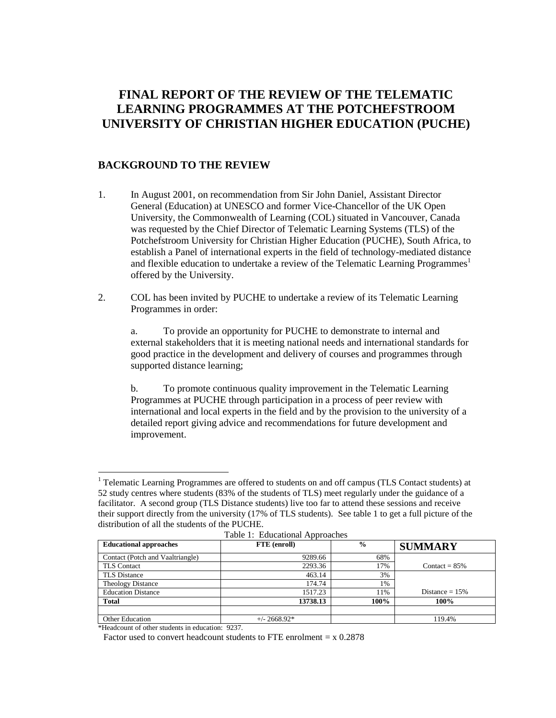## **FINAL REPORT OF THE REVIEW OF THE TELEMATIC LEARNING PROGRAMMES AT THE POTCHEFSTROOM UNIVERSITY OF CHRISTIAN HIGHER EDUCATION (PUCHE)**

## <span id="page-2-0"></span>**BACKGROUND TO THE REVIEW**

- 1. In August 2001, on recommendation from Sir John Daniel, Assistant Director General (Education) at UNESCO and former Vice-Chancellor of the UK Open University, the Commonwealth of Learning (COL) situated in Vancouver, Canada was requested by the Chief Director of Telematic Learning Systems (TLS) of the Potchefstroom University for Christian Higher Education (PUCHE), South Africa, to establish a Panel of international experts in the field of technology-mediated distance and flexible education to undertake a review of the Telematic Learning Programmes<sup>1</sup> offered by the University.
- 2. COL has been invited by PUCHE to undertake a review of its Telematic Learning Programmes in order:

a. To provide an opportunity for PUCHE to demonstrate to internal and external stakeholders that it is meeting national needs and international standards for good practice in the development and delivery of courses and programmes through supported distance learning;

b. To promote continuous quality improvement in the Telematic Learning Programmes at PUCHE through participation in a process of peer review with international and local experts in the field and by the provision to the university of a detailed report giving advice and recommendations for future development and improvement.

 $<sup>1</sup>$  Telematic Learning Programmes are offered to students on and off campus (TLS Contact students) at</sup> 52 study centres where students (83% of the students of TLS) meet regularly under the guidance of a facilitator. A second group (TLS Distance students) live too far to attend these sessions and receive their support directly from the university (17% of TLS students). See table 1 to get a full picture of the distribution of all the students of the PUCHE.

| --------                         |                |               |                   |  |  |
|----------------------------------|----------------|---------------|-------------------|--|--|
| <b>Educational approaches</b>    | FTE (enroll)   | $\frac{6}{9}$ | <b>SUMMARY</b>    |  |  |
| Contact (Potch and Vaaltriangle) | 9289.66        | 68%           |                   |  |  |
| <b>TLS</b> Contact               | 2293.36        | 17%           | Contact = $85\%$  |  |  |
| <b>TLS Distance</b>              | 463.14         | 3%            |                   |  |  |
| Theology Distance                | 174.74         | 1%            |                   |  |  |
| <b>Education Distance</b>        | 1517.23        | 11%           | Distance $= 15\%$ |  |  |
| <b>Total</b>                     | 13738.13       | 100%          | 100%              |  |  |
|                                  |                |               |                   |  |  |
| <b>Other Education</b>           | $+/- 2668.92*$ |               | 119.4%            |  |  |

Table 1: Educational Approaches

\*Headcount of other students in education: 9237.

 $\overline{a}$ 

Factor used to convert headcount students to FTE enrolment  $= x 0.2878$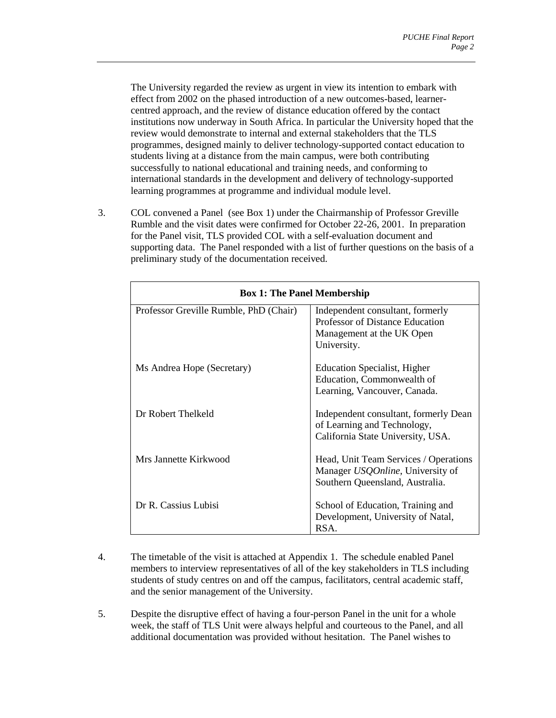The University regarded the review as urgent in view its intention to embark with effect from 2002 on the phased introduction of a new outcomes-based, learnercentred approach, and the review of distance education offered by the contact institutions now underway in South Africa. In particular the University hoped that the review would demonstrate to internal and external stakeholders that the TLS programmes, designed mainly to deliver technology-supported contact education to students living at a distance from the main campus, were both contributing successfully to national educational and training needs, and conforming to international standards in the development and delivery of technology-supported learning programmes at programme and individual module level.

3. COL convened a Panel (see Box 1) under the Chairmanship of Professor Greville Rumble and the visit dates were confirmed for October 22-26, 2001. In preparation for the Panel visit, TLS provided COL with a self-evaluation document and supporting data. The Panel responded with a list of further questions on the basis of a preliminary study of the documentation received.

| <b>Box 1: The Panel Membership</b>     |                                                                                                                      |  |  |
|----------------------------------------|----------------------------------------------------------------------------------------------------------------------|--|--|
| Professor Greville Rumble, PhD (Chair) | Independent consultant, formerly<br>Professor of Distance Education<br>Management at the UK Open<br>University.      |  |  |
| Ms Andrea Hope (Secretary)             | <b>Education Specialist</b> , Higher<br>Education, Commonwealth of<br>Learning, Vancouver, Canada.                   |  |  |
| Dr Robert Thelkeld                     | Independent consultant, formerly Dean<br>of Learning and Technology,<br>California State University, USA.            |  |  |
| Mrs Jannette Kirkwood                  | Head, Unit Team Services / Operations<br>Manager <i>USQOnline</i> , University of<br>Southern Queensland, Australia. |  |  |
| Dr R. Cassius Lubisi                   | School of Education, Training and<br>Development, University of Natal,<br>RSA.                                       |  |  |

- 4. The timetable of the visit is attached at Appendix 1. The schedule enabled Panel members to interview representatives of all of the key stakeholders in TLS including students of study centres on and off the campus, facilitators, central academic staff, and the senior management of the University.
- 5. Despite the disruptive effect of having a four-person Panel in the unit for a whole week, the staff of TLS Unit were always helpful and courteous to the Panel, and all additional documentation was provided without hesitation. The Panel wishes to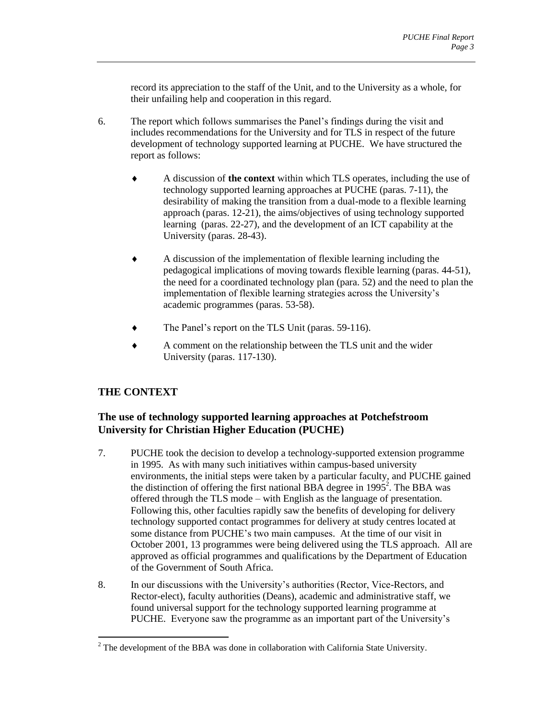record its appreciation to the staff of the Unit, and to the University as a whole, for their unfailing help and cooperation in this regard.

- 6. The report which follows summarises the Panel's findings during the visit and includes recommendations for the University and for TLS in respect of the future development of technology supported learning at PUCHE. We have structured the report as follows:
	- A discussion of **the context** within which TLS operates, including the use of technology supported learning approaches at PUCHE (paras. 7-11), the desirability of making the transition from a dual-mode to a flexible learning approach (paras. 12-21), the aims/objectives of using technology supported learning (paras. 22-27), and the development of an ICT capability at the University (paras. 28-43).
	- A discussion of the implementation of flexible learning including the pedagogical implications of moving towards flexible learning (paras. 44-51), the need for a coordinated technology plan (para. 52) and the need to plan the implementation of flexible learning strategies across the University's academic programmes (paras. 53-58).
	- The Panel's report on the TLS Unit (paras. 59-116).
	- A comment on the relationship between the TLS unit and the wider University (paras. 117-130).

## <span id="page-4-0"></span>**THE CONTEXT**

 $\overline{a}$ 

## <span id="page-4-1"></span>**The use of technology supported learning approaches at Potchefstroom University for Christian Higher Education (PUCHE)**

- 7. PUCHE took the decision to develop a technology-supported extension programme in 1995. As with many such initiatives within campus-based university environments, the initial steps were taken by a particular faculty, and PUCHE gained the distinction of offering the first national BBA degree in  $1995^2$ . The BBA was offered through the TLS mode – with English as the language of presentation. Following this, other faculties rapidly saw the benefits of developing for delivery technology supported contact programmes for delivery at study centres located at some distance from PUCHE's two main campuses. At the time of our visit in October 2001, 13 programmes were being delivered using the TLS approach. All are approved as official programmes and qualifications by the Department of Education of the Government of South Africa.
- 8. In our discussions with the University's authorities (Rector, Vice-Rectors, and Rector-elect), faculty authorities (Deans), academic and administrative staff, we found universal support for the technology supported learning programme at PUCHE. Everyone saw the programme as an important part of the University's

 $2$  The development of the BBA was done in collaboration with California State University.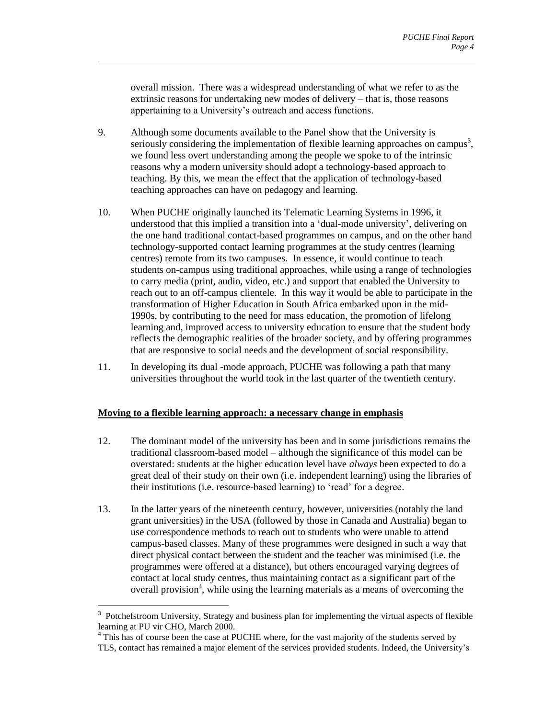overall mission. There was a widespread understanding of what we refer to as the extrinsic reasons for undertaking new modes of delivery – that is, those reasons appertaining to a University's outreach and access functions.

- 9. Although some documents available to the Panel show that the University is seriously considering the implementation of flexible learning approaches on campus<sup>3</sup>, we found less overt understanding among the people we spoke to of the intrinsic reasons why a modern university should adopt a technology-based approach to teaching. By this, we mean the effect that the application of technology-based teaching approaches can have on pedagogy and learning.
- 10. When PUCHE originally launched its Telematic Learning Systems in 1996, it understood that this implied a transition into a 'dual-mode university', delivering on the one hand traditional contact-based programmes on campus, and on the other hand technology-supported contact learning programmes at the study centres (learning centres) remote from its two campuses. In essence, it would continue to teach students on-campus using traditional approaches, while using a range of technologies to carry media (print, audio, video, etc.) and support that enabled the University to reach out to an off-campus clientele. In this way it would be able to participate in the transformation of Higher Education in South Africa embarked upon in the mid-1990s, by contributing to the need for mass education, the promotion of lifelong learning and, improved access to university education to ensure that the student body reflects the demographic realities of the broader society, and by offering programmes that are responsive to social needs and the development of social responsibility.
- 11. In developing its dual -mode approach, PUCHE was following a path that many universities throughout the world took in the last quarter of the twentieth century.

#### <span id="page-5-0"></span>**Moving to a flexible learning approach: a necessary change in emphasis**

- 12. The dominant model of the university has been and in some jurisdictions remains the traditional classroom-based model – although the significance of this model can be overstated: students at the higher education level have *always* been expected to do a great deal of their study on their own (i.e. independent learning) using the libraries of their institutions (i.e. resource-based learning) to 'read' for a degree.
- 13. In the latter years of the nineteenth century, however, universities (notably the land grant universities) in the USA (followed by those in Canada and Australia) began to use correspondence methods to reach out to students who were unable to attend campus-based classes. Many of these programmes were designed in such a way that direct physical contact between the student and the teacher was minimised (i.e. the programmes were offered at a distance), but others encouraged varying degrees of contact at local study centres, thus maintaining contact as a significant part of the overall provision<sup>4</sup>, while using the learning materials as a means of overcoming the

 $\overline{a}$ 

<sup>&</sup>lt;sup>3</sup> Potchefstroom University, Strategy and business plan for implementing the virtual aspects of flexible learning at PU vir CHO, March 2000.

<sup>&</sup>lt;sup>4</sup> This has of course been the case at PUCHE where, for the vast majority of the students served by TLS, contact has remained a major element of the services provided students. Indeed, the University's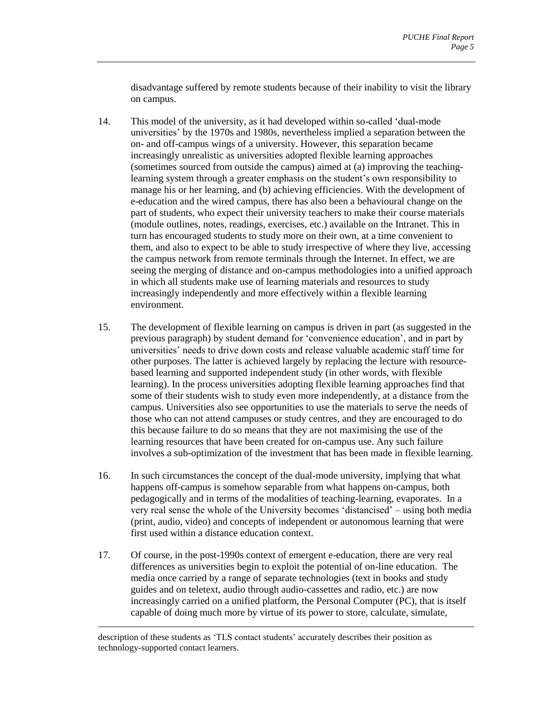disadvantage suffered by remote students because of their inability to visit the library on campus.

- 14. This model of the university, as it had developed within so-called 'dual-mode universities' by the 1970s and 1980s, nevertheless implied a separation between the on- and off-campus wings of a university. However, this separation became increasingly unrealistic as universities adopted flexible learning approaches (sometimes sourced from outside the campus) aimed at (a) improving the teachinglearning system through a greater emphasis on the student's own responsibility to manage his or her learning, and (b) achieving efficiencies. With the development of e-education and the wired campus, there has also been a behavioural change on the part of students, who expect their university teachers to make their course materials (module outlines, notes, readings, exercises, etc.) available on the Intranet. This in turn has encouraged students to study more on their own, at a time convenient to them, and also to expect to be able to study irrespective of where they live, accessing the campus network from remote terminals through the Internet. In effect, we are seeing the merging of distance and on-campus methodologies into a unified approach in which all students make use of learning materials and resources to study increasingly independently and more effectively within a flexible learning environment.
- 15. The development of flexible learning on campus is driven in part (as suggested in the previous paragraph) by student demand for 'convenience education', and in part by universities' needs to drive down costs and release valuable academic staff time for other purposes. The latter is achieved largely by replacing the lecture with resourcebased learning and supported independent study (in other words, with flexible learning). In the process universities adopting flexible learning approaches find that some of their students wish to study even more independently, at a distance from the campus. Universities also see opportunities to use the materials to serve the needs of those who can not attend campuses or study centres, and they are encouraged to do this because failure to do so means that they are not maximising the use of the learning resources that have been created for on-campus use. Any such failure involves a sub-optimization of the investment that has been made in flexible learning.
- 16. In such circumstances the concept of the dual-mode university, implying that what happens off-campus is somehow separable from what happens on-campus, both pedagogically and in terms of the modalities of teaching-learning, evaporates. In a very real sense the whole of the University becomes 'distancised' – using both media (print, audio, video) and concepts of independent or autonomous learning that were first used within a distance education context.
- 17. Of course, in the post-1990s context of emergent e-education, there are very real differences as universities begin to exploit the potential of on-line education. The media once carried by a range of separate technologies (text in books and study guides and on teletext, audio through audio-cassettes and radio, etc.) are now increasingly carried on a unified platform, the Personal Computer (PC), that is itself capable of doing much more by virtue of its power to store, calculate, simulate,

description of these students as 'TLS contact students' accurately describes their position as technology-supported contact learners.

 $\overline{a}$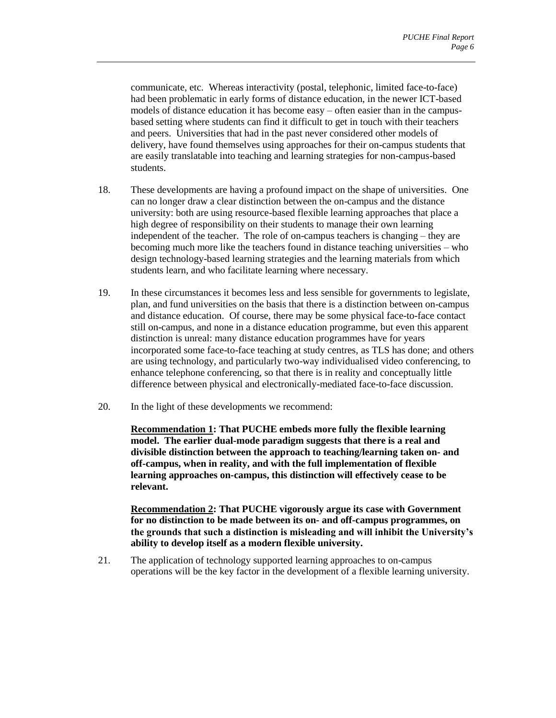communicate, etc. Whereas interactivity (postal, telephonic, limited face-to-face) had been problematic in early forms of distance education, in the newer ICT-based models of distance education it has become easy – often easier than in the campusbased setting where students can find it difficult to get in touch with their teachers and peers. Universities that had in the past never considered other models of delivery, have found themselves using approaches for their on-campus students that are easily translatable into teaching and learning strategies for non-campus-based students.

- 18. These developments are having a profound impact on the shape of universities. One can no longer draw a clear distinction between the on-campus and the distance university: both are using resource-based flexible learning approaches that place a high degree of responsibility on their students to manage their own learning independent of the teacher. The role of on-campus teachers is changing – they are becoming much more like the teachers found in distance teaching universities – who design technology-based learning strategies and the learning materials from which students learn, and who facilitate learning where necessary.
- 19. In these circumstances it becomes less and less sensible for governments to legislate, plan, and fund universities on the basis that there is a distinction between on-campus and distance education. Of course, there may be some physical face-to-face contact still on-campus, and none in a distance education programme, but even this apparent distinction is unreal: many distance education programmes have for years incorporated some face-to-face teaching at study centres, as TLS has done; and others are using technology, and particularly two-way individualised video conferencing, to enhance telephone conferencing, so that there is in reality and conceptually little difference between physical and electronically-mediated face-to-face discussion.
- 20. In the light of these developments we recommend:

**Recommendation 1: That PUCHE embeds more fully the flexible learning model. The earlier dual-mode paradigm suggests that there is a real and divisible distinction between the approach to teaching/learning taken on- and off-campus, when in reality, and with the full implementation of flexible learning approaches on-campus, this distinction will effectively cease to be relevant.** 

**Recommendation 2: That PUCHE vigorously argue its case with Government for no distinction to be made between its on- and off-campus programmes, on the grounds that such a distinction is misleading and will inhibit the University's ability to develop itself as a modern flexible university.** 

21. The application of technology supported learning approaches to on-campus operations will be the key factor in the development of a flexible learning university.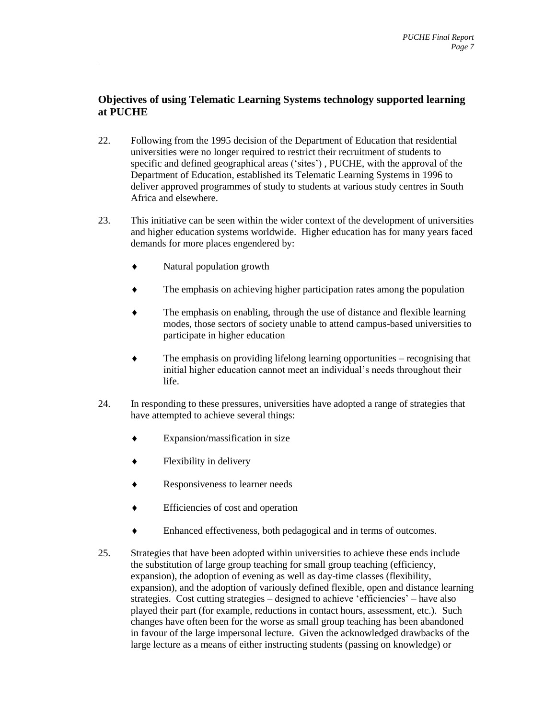## <span id="page-8-0"></span>**Objectives of using Telematic Learning Systems technology supported learning at PUCHE**

- 22. Following from the 1995 decision of the Department of Education that residential universities were no longer required to restrict their recruitment of students to specific and defined geographical areas ('sites') , PUCHE, with the approval of the Department of Education, established its Telematic Learning Systems in 1996 to deliver approved programmes of study to students at various study centres in South Africa and elsewhere.
- 23. This initiative can be seen within the wider context of the development of universities and higher education systems worldwide. Higher education has for many years faced demands for more places engendered by:
	- Natural population growth
	- The emphasis on achieving higher participation rates among the population
	- The emphasis on enabling, through the use of distance and flexible learning modes, those sectors of society unable to attend campus-based universities to participate in higher education
	- The emphasis on providing lifelong learning opportunities recognising that initial higher education cannot meet an individual's needs throughout their life.
- 24. In responding to these pressures, universities have adopted a range of strategies that have attempted to achieve several things:
	- Expansion/massification in size
	- Flexibility in delivery
	- ◆ Responsiveness to learner needs
	- Efficiencies of cost and operation
	- Enhanced effectiveness, both pedagogical and in terms of outcomes.
- 25. Strategies that have been adopted within universities to achieve these ends include the substitution of large group teaching for small group teaching (efficiency, expansion), the adoption of evening as well as day-time classes (flexibility, expansion), and the adoption of variously defined flexible, open and distance learning strategies. Cost cutting strategies – designed to achieve 'efficiencies' – have also played their part (for example, reductions in contact hours, assessment, etc.). Such changes have often been for the worse as small group teaching has been abandoned in favour of the large impersonal lecture. Given the acknowledged drawbacks of the large lecture as a means of either instructing students (passing on knowledge) or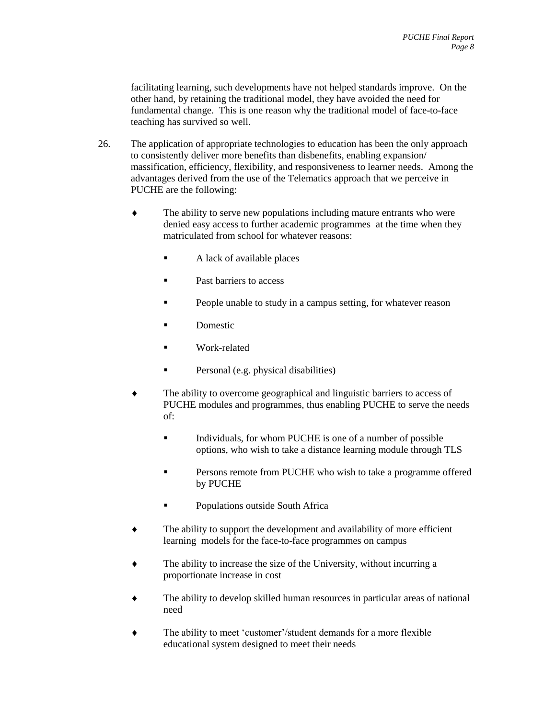facilitating learning, such developments have not helped standards improve. On the other hand, by retaining the traditional model, they have avoided the need for fundamental change. This is one reason why the traditional model of face-to-face teaching has survived so well.

- 26. The application of appropriate technologies to education has been the only approach to consistently deliver more benefits than disbenefits, enabling expansion/ massification, efficiency, flexibility, and responsiveness to learner needs. Among the advantages derived from the use of the Telematics approach that we perceive in PUCHE are the following:
	- The ability to serve new populations including mature entrants who were denied easy access to further academic programmes at the time when they matriculated from school for whatever reasons:
		- A lack of available places
		- Past barriers to access
		- People unable to study in a campus setting, for whatever reason
		- Domestic
		- Work-related
		- **Personal (e.g. physical disabilities)**
	- The ability to overcome geographical and linguistic barriers to access of PUCHE modules and programmes, thus enabling PUCHE to serve the needs of:
		- Individuals, for whom PUCHE is one of a number of possible options, who wish to take a distance learning module through TLS
		- Persons remote from PUCHE who wish to take a programme offered by PUCHE
		- **Populations outside South Africa**
	- The ability to support the development and availability of more efficient learning models for the face-to-face programmes on campus
	- The ability to increase the size of the University, without incurring a proportionate increase in cost
	- The ability to develop skilled human resources in particular areas of national need
	- The ability to meet 'customer'/student demands for a more flexible educational system designed to meet their needs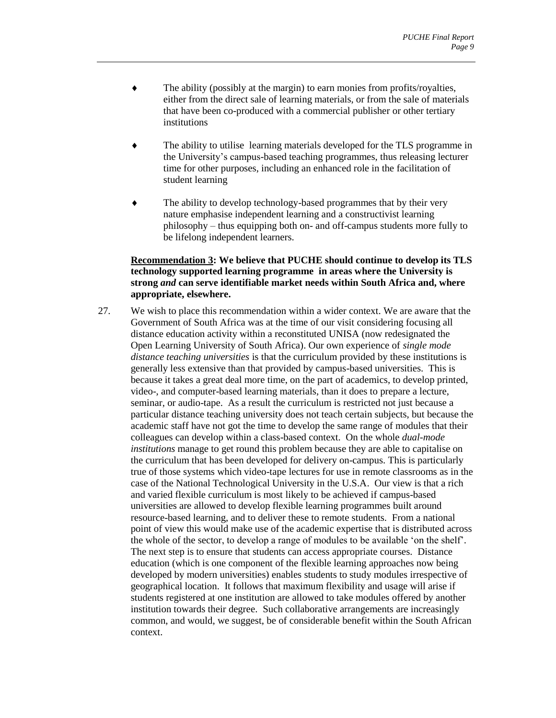- The ability (possibly at the margin) to earn monies from profits/royalties, either from the direct sale of learning materials, or from the sale of materials that have been co-produced with a commercial publisher or other tertiary institutions
- The ability to utilise learning materials developed for the TLS programme in the University's campus-based teaching programmes, thus releasing lecturer time for other purposes, including an enhanced role in the facilitation of student learning
- The ability to develop technology-based programmes that by their very nature emphasise independent learning and a constructivist learning philosophy – thus equipping both on- and off-campus students more fully to be lifelong independent learners.

#### **Recommendation 3: We believe that PUCHE should continue to develop its TLS technology supported learning programme in areas where the University is strong** *and* **can serve identifiable market needs within South Africa and, where appropriate, elsewhere.**

27. We wish to place this recommendation within a wider context. We are aware that the Government of South Africa was at the time of our visit considering focusing all distance education activity within a reconstituted UNISA (now redesignated the Open Learning University of South Africa). Our own experience of *single mode distance teaching universities* is that the curriculum provided by these institutions is generally less extensive than that provided by campus-based universities. This is because it takes a great deal more time, on the part of academics, to develop printed, video-, and computer-based learning materials, than it does to prepare a lecture, seminar, or audio-tape. As a result the curriculum is restricted not just because a particular distance teaching university does not teach certain subjects, but because the academic staff have not got the time to develop the same range of modules that their colleagues can develop within a class-based context. On the whole *dual-mode institutions* manage to get round this problem because they are able to capitalise on the curriculum that has been developed for delivery on-campus. This is particularly true of those systems which video-tape lectures for use in remote classrooms as in the case of the National Technological University in the U.S.A. Our view is that a rich and varied flexible curriculum is most likely to be achieved if campus-based universities are allowed to develop flexible learning programmes built around resource-based learning, and to deliver these to remote students. From a national point of view this would make use of the academic expertise that is distributed across the whole of the sector, to develop a range of modules to be available 'on the shelf'. The next step is to ensure that students can access appropriate courses. Distance education (which is one component of the flexible learning approaches now being developed by modern universities) enables students to study modules irrespective of geographical location. It follows that maximum flexibility and usage will arise if students registered at one institution are allowed to take modules offered by another institution towards their degree. Such collaborative arrangements are increasingly common, and would, we suggest, be of considerable benefit within the South African context.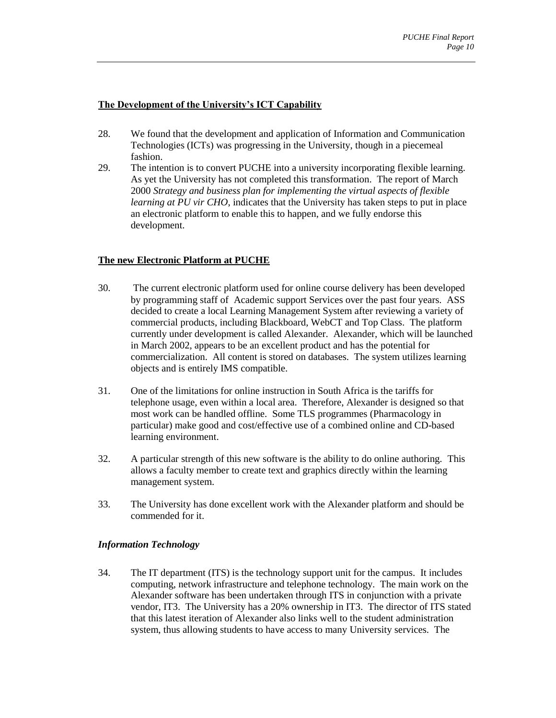#### <span id="page-11-0"></span>**The Development of the University's ICT Capability**

- 28. We found that the development and application of Information and Communication Technologies (ICTs) was progressing in the University, though in a piecemeal fashion.
- 29. The intention is to convert PUCHE into a university incorporating flexible learning. As yet the University has not completed this transformation. The report of March 2000 *Strategy and business plan for implementing the virtual aspects of flexible learning at PU vir CHO*, indicates that the University has taken steps to put in place an electronic platform to enable this to happen, and we fully endorse this development.

## <span id="page-11-1"></span>**The new Electronic Platform at PUCHE**

- 30. The current electronic platform used for online course delivery has been developed by programming staff of Academic support Services over the past four years. ASS decided to create a local Learning Management System after reviewing a variety of commercial products, including Blackboard, WebCT and Top Class. The platform currently under development is called Alexander. Alexander, which will be launched in March 2002, appears to be an excellent product and has the potential for commercialization. All content is stored on databases. The system utilizes learning objects and is entirely IMS compatible.
- 31. One of the limitations for online instruction in South Africa is the tariffs for telephone usage, even within a local area. Therefore, Alexander is designed so that most work can be handled offline. Some TLS programmes (Pharmacology in particular) make good and cost/effective use of a combined online and CD-based learning environment.
- 32. A particular strength of this new software is the ability to do online authoring. This allows a faculty member to create text and graphics directly within the learning management system.
- 33. The University has done excellent work with the Alexander platform and should be commended for it.

#### *Information Technology*

34. The IT department (ITS) is the technology support unit for the campus. It includes computing, network infrastructure and telephone technology. The main work on the Alexander software has been undertaken through ITS in conjunction with a private vendor, IT3. The University has a 20% ownership in IT3. The director of ITS stated that this latest iteration of Alexander also links well to the student administration system, thus allowing students to have access to many University services. The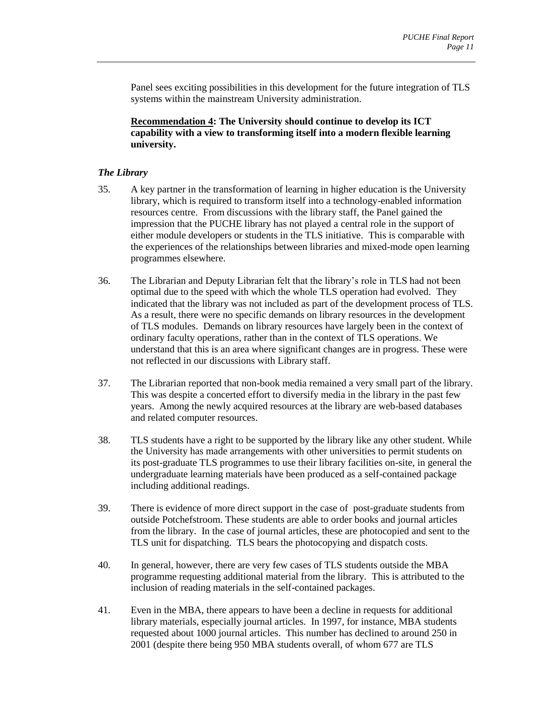Panel sees exciting possibilities in this development for the future integration of TLS systems within the mainstream University administration.

**Recommendation 4: The University should continue to develop its ICT capability with a view to transforming itself into a modern flexible learning university.** 

#### *The Library*

- 35. A key partner in the transformation of learning in higher education is the University library, which is required to transform itself into a technology-enabled information resources centre. From discussions with the library staff, the Panel gained the impression that the PUCHE library has not played a central role in the support of either module developers or students in the TLS initiative. This is comparable with the experiences of the relationships between libraries and mixed-mode open learning programmes elsewhere.
- 36. The Librarian and Deputy Librarian felt that the library's role in TLS had not been optimal due to the speed with which the whole TLS operation had evolved. They indicated that the library was not included as part of the development process of TLS. As a result, there were no specific demands on library resources in the development of TLS modules. Demands on library resources have largely been in the context of ordinary faculty operations, rather than in the context of TLS operations. We understand that this is an area where significant changes are in progress. These were not reflected in our discussions with Library staff.
- 37. The Librarian reported that non-book media remained a very small part of the library. This was despite a concerted effort to diversify media in the library in the past few years. Among the newly acquired resources at the library are web-based databases and related computer resources.
- 38. TLS students have a right to be supported by the library like any other student. While the University has made arrangements with other universities to permit students on its post-graduate TLS programmes to use their library facilities on-site, in general the undergraduate learning materials have been produced as a self-contained package including additional readings.
- 39. There is evidence of more direct support in the case of post-graduate students from outside Potchefstroom. These students are able to order books and journal articles from the library. In the case of journal articles, these are photocopied and sent to the TLS unit for dispatching. TLS bears the photocopying and dispatch costs.
- 40. In general, however, there are very few cases of TLS students outside the MBA programme requesting additional material from the library. This is attributed to the inclusion of reading materials in the self-contained packages.
- 41. Even in the MBA, there appears to have been a decline in requests for additional library materials, especially journal articles. In 1997, for instance, MBA students requested about 1000 journal articles. This number has declined to around 250 in 2001 (despite there being 950 MBA students overall, of whom 677 are TLS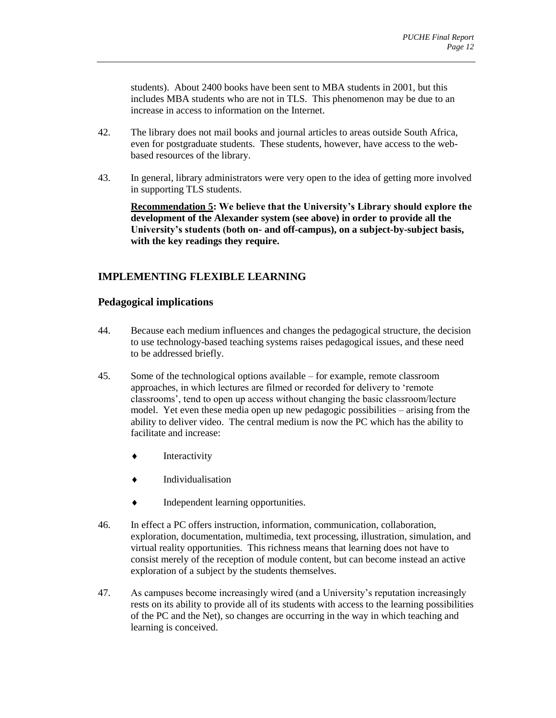students). About 2400 books have been sent to MBA students in 2001, but this includes MBA students who are not in TLS. This phenomenon may be due to an increase in access to information on the Internet.

- 42. The library does not mail books and journal articles to areas outside South Africa, even for postgraduate students. These students, however, have access to the webbased resources of the library.
- 43. In general, library administrators were very open to the idea of getting more involved in supporting TLS students.

**Recommendation 5: We believe that the University's Library should explore the development of the Alexander system (see above) in order to provide all the University's students (both on- and off-campus), on a subject-by-subject basis, with the key readings they require.** 

## <span id="page-13-0"></span>**IMPLEMENTING FLEXIBLE LEARNING**

## <span id="page-13-1"></span>**Pedagogical implications**

- 44. Because each medium influences and changes the pedagogical structure, the decision to use technology-based teaching systems raises pedagogical issues, and these need to be addressed briefly.
- 45. Some of the technological options available for example, remote classroom approaches, in which lectures are filmed or recorded for delivery to 'remote classrooms', tend to open up access without changing the basic classroom/lecture model. Yet even these media open up new pedagogic possibilities – arising from the ability to deliver video. The central medium is now the PC which has the ability to facilitate and increase:
	- Interactivity
	- Individualisation
	- $\bullet$  Independent learning opportunities.
- 46. In effect a PC offers instruction, information, communication, collaboration, exploration, documentation, multimedia, text processing, illustration, simulation, and virtual reality opportunities. This richness means that learning does not have to consist merely of the reception of module content, but can become instead an active exploration of a subject by the students themselves.
- 47. As campuses become increasingly wired (and a University's reputation increasingly rests on its ability to provide all of its students with access to the learning possibilities of the PC and the Net), so changes are occurring in the way in which teaching and learning is conceived.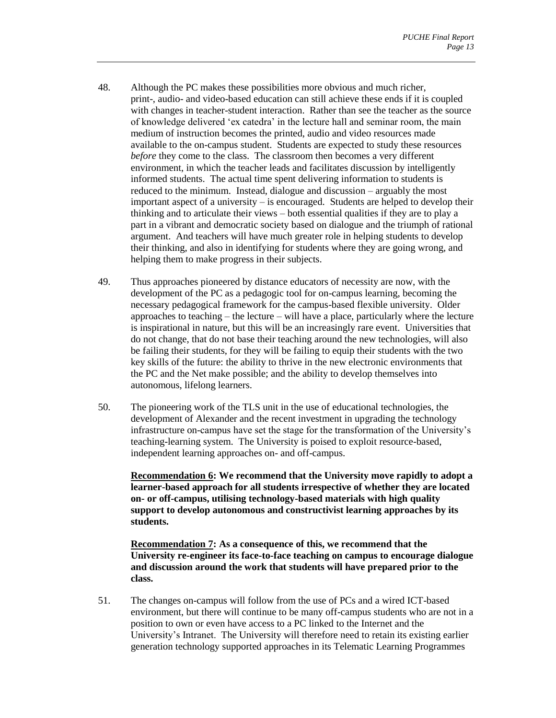- 48. Although the PC makes these possibilities more obvious and much richer, print-, audio- and video-based education can still achieve these ends if it is coupled with changes in teacher-student interaction. Rather than see the teacher as the source of knowledge delivered 'ex catedra' in the lecture hall and seminar room, the main medium of instruction becomes the printed, audio and video resources made available to the on-campus student. Students are expected to study these resources *before* they come to the class. The classroom then becomes a very different environment, in which the teacher leads and facilitates discussion by intelligently informed students. The actual time spent delivering information to students is reduced to the minimum. Instead, dialogue and discussion – arguably the most important aspect of a university – is encouraged. Students are helped to develop their thinking and to articulate their views – both essential qualities if they are to play a part in a vibrant and democratic society based on dialogue and the triumph of rational argument. And teachers will have much greater role in helping students to develop their thinking, and also in identifying for students where they are going wrong, and helping them to make progress in their subjects.
- 49. Thus approaches pioneered by distance educators of necessity are now, with the development of the PC as a pedagogic tool for on-campus learning, becoming the necessary pedagogical framework for the campus-based flexible university. Older approaches to teaching – the lecture – will have a place, particularly where the lecture is inspirational in nature, but this will be an increasingly rare event. Universities that do not change, that do not base their teaching around the new technologies, will also be failing their students, for they will be failing to equip their students with the two key skills of the future: the ability to thrive in the new electronic environments that the PC and the Net make possible; and the ability to develop themselves into autonomous, lifelong learners.
- 50. The pioneering work of the TLS unit in the use of educational technologies, the development of Alexander and the recent investment in upgrading the technology infrastructure on-campus have set the stage for the transformation of the University's teaching-learning system. The University is poised to exploit resource-based, independent learning approaches on- and off-campus.

**Recommendation 6: We recommend that the University move rapidly to adopt a learner-based approach for all students irrespective of whether they are located on- or off-campus, utilising technology-based materials with high quality support to develop autonomous and constructivist learning approaches by its students.** 

**Recommendation 7: As a consequence of this, we recommend that the University re-engineer its face-to-face teaching on campus to encourage dialogue and discussion around the work that students will have prepared prior to the class.** 

51. The changes on-campus will follow from the use of PCs and a wired ICT-based environment, but there will continue to be many off-campus students who are not in a position to own or even have access to a PC linked to the Internet and the University's Intranet. The University will therefore need to retain its existing earlier generation technology supported approaches in its Telematic Learning Programmes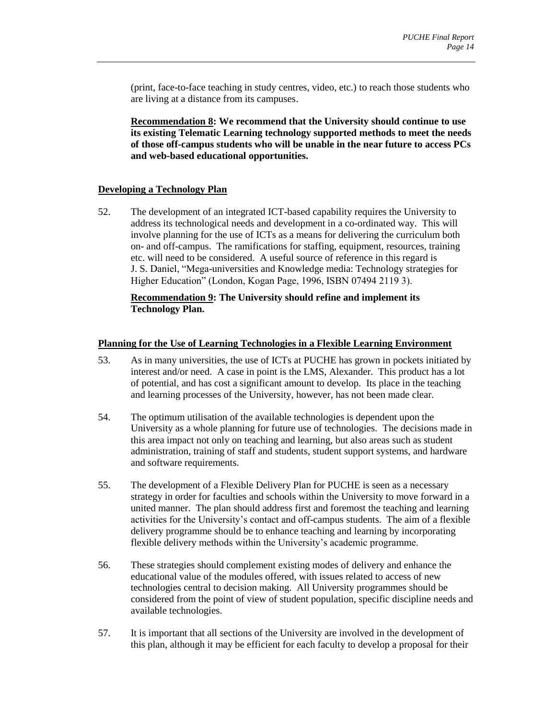(print, face-to-face teaching in study centres, video, etc.) to reach those students who are living at a distance from its campuses.

**Recommendation 8: We recommend that the University should continue to use its existing Telematic Learning technology supported methods to meet the needs of those off-campus students who will be unable in the near future to access PCs and web-based educational opportunities.** 

#### <span id="page-15-0"></span>**Developing a Technology Plan**

52. The development of an integrated ICT-based capability requires the University to address its technological needs and development in a co-ordinated way. This will involve planning for the use of ICTs as a means for delivering the curriculum both on- and off-campus. The ramifications for staffing, equipment, resources, training etc. will need to be considered. A useful source of reference in this regard is J. S. Daniel, "Mega-universities and Knowledge media: Technology strategies for Higher Education" (London, Kogan Page, 1996, ISBN 07494 2119 3).

#### **Recommendation 9: The University should refine and implement its Technology Plan.**

#### <span id="page-15-1"></span>**Planning for the Use of Learning Technologies in a Flexible Learning Environment**

- 53. As in many universities, the use of ICTs at PUCHE has grown in pockets initiated by interest and/or need. A case in point is the LMS, Alexander. This product has a lot of potential, and has cost a significant amount to develop. Its place in the teaching and learning processes of the University, however, has not been made clear.
- 54. The optimum utilisation of the available technologies is dependent upon the University as a whole planning for future use of technologies. The decisions made in this area impact not only on teaching and learning, but also areas such as student administration, training of staff and students, student support systems, and hardware and software requirements.
- 55. The development of a Flexible Delivery Plan for PUCHE is seen as a necessary strategy in order for faculties and schools within the University to move forward in a united manner. The plan should address first and foremost the teaching and learning activities for the University's contact and off-campus students. The aim of a flexible delivery programme should be to enhance teaching and learning by incorporating flexible delivery methods within the University's academic programme.
- 56. These strategies should complement existing modes of delivery and enhance the educational value of the modules offered, with issues related to access of new technologies central to decision making. All University programmes should be considered from the point of view of student population, specific discipline needs and available technologies.
- 57. It is important that all sections of the University are involved in the development of this plan, although it may be efficient for each faculty to develop a proposal for their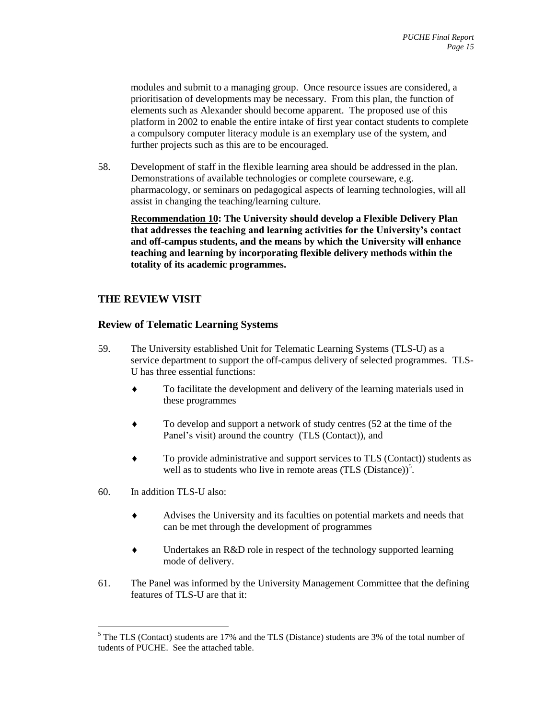modules and submit to a managing group. Once resource issues are considered, a prioritisation of developments may be necessary. From this plan, the function of elements such as Alexander should become apparent. The proposed use of this platform in 2002 to enable the entire intake of first year contact students to complete a compulsory computer literacy module is an exemplary use of the system, and further projects such as this are to be encouraged.

58. Development of staff in the flexible learning area should be addressed in the plan. Demonstrations of available technologies or complete courseware, e.g. pharmacology, or seminars on pedagogical aspects of learning technologies, will all assist in changing the teaching/learning culture.

**Recommendation 10: The University should develop a Flexible Delivery Plan that addresses the teaching and learning activities for the University's contact and off-campus students, and the means by which the University will enhance teaching and learning by incorporating flexible delivery methods within the totality of its academic programmes.** 

## <span id="page-16-0"></span>**THE REVIEW VISIT**

## <span id="page-16-1"></span>**Review of Telematic Learning Systems**

- 59. The University established Unit for Telematic Learning Systems (TLS-U) as a service department to support the off-campus delivery of selected programmes. TLS-U has three essential functions:
	- To facilitate the development and delivery of the learning materials used in these programmes
	- To develop and support a network of study centres (52 at the time of the Panel's visit) around the country (TLS (Contact)), and
	- To provide administrative and support services to TLS (Contact)) students as well as to students who live in remote areas  $(TLS \text{ (Distance)})^5$ .
- 60. In addition TLS-U also:

 $\overline{a}$ 

- Advises the University and its faculties on potential markets and needs that can be met through the development of programmes
- Undertakes an R&D role in respect of the technology supported learning mode of delivery.
- 61. The Panel was informed by the University Management Committee that the defining features of TLS-U are that it:

<sup>&</sup>lt;sup>5</sup> The TLS (Contact) students are 17% and the TLS (Distance) students are 3% of the total number of tudents of PUCHE. See the attached table.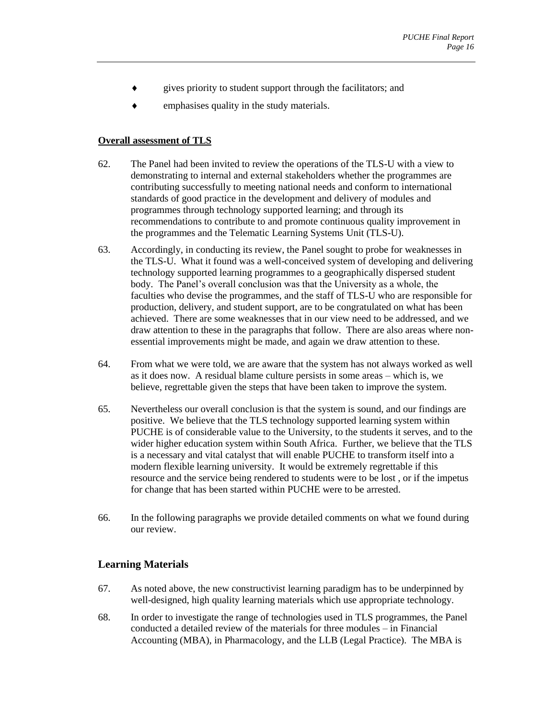- gives priority to student support through the facilitators; and
- $\bullet$  emphasises quality in the study materials.

#### <span id="page-17-0"></span>**Overall assessment of TLS**

- 62. The Panel had been invited to review the operations of the TLS-U with a view to demonstrating to internal and external stakeholders whether the programmes are contributing successfully to meeting national needs and conform to international standards of good practice in the development and delivery of modules and programmes through technology supported learning; and through its recommendations to contribute to and promote continuous quality improvement in the programmes and the Telematic Learning Systems Unit (TLS-U).
- 63. Accordingly, in conducting its review, the Panel sought to probe for weaknesses in the TLS-U. What it found was a well-conceived system of developing and delivering technology supported learning programmes to a geographically dispersed student body. The Panel's overall conclusion was that the University as a whole, the faculties who devise the programmes, and the staff of TLS-U who are responsible for production, delivery, and student support, are to be congratulated on what has been achieved. There are some weaknesses that in our view need to be addressed, and we draw attention to these in the paragraphs that follow. There are also areas where nonessential improvements might be made, and again we draw attention to these.
- 64. From what we were told, we are aware that the system has not always worked as well as it does now. A residual blame culture persists in some areas – which is, we believe, regrettable given the steps that have been taken to improve the system.
- 65. Nevertheless our overall conclusion is that the system is sound, and our findings are positive. We believe that the TLS technology supported learning system within PUCHE is of considerable value to the University, to the students it serves, and to the wider higher education system within South Africa. Further, we believe that the TLS is a necessary and vital catalyst that will enable PUCHE to transform itself into a modern flexible learning university. It would be extremely regrettable if this resource and the service being rendered to students were to be lost , or if the impetus for change that has been started within PUCHE were to be arrested.
- 66. In the following paragraphs we provide detailed comments on what we found during our review.

## <span id="page-17-1"></span>**Learning Materials**

- 67. As noted above, the new constructivist learning paradigm has to be underpinned by well-designed, high quality learning materials which use appropriate technology.
- 68. In order to investigate the range of technologies used in TLS programmes, the Panel conducted a detailed review of the materials for three modules – in Financial Accounting (MBA), in Pharmacology, and the LLB (Legal Practice). The MBA is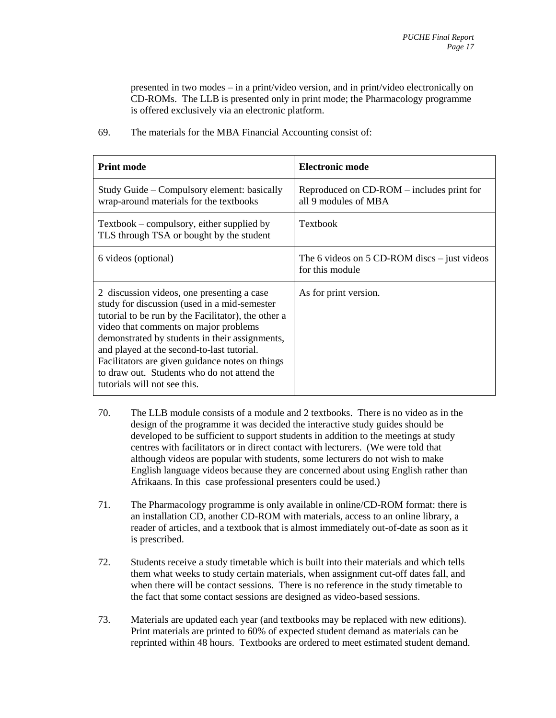presented in two modes – in a print/video version, and in print/video electronically on CD-ROMs. The LLB is presented only in print mode; the Pharmacology programme is offered exclusively via an electronic platform.

| <b>Print mode</b>                                                                                                                                                                                                                                                                                                                                                                                                            | <b>Electronic mode</b>                                            |
|------------------------------------------------------------------------------------------------------------------------------------------------------------------------------------------------------------------------------------------------------------------------------------------------------------------------------------------------------------------------------------------------------------------------------|-------------------------------------------------------------------|
| Study Guide – Compulsory element: basically<br>wrap-around materials for the textbooks                                                                                                                                                                                                                                                                                                                                       | Reproduced on CD-ROM – includes print for<br>all 9 modules of MBA |
| Textbook – compulsory, either supplied by<br>TLS through TSA or bought by the student                                                                                                                                                                                                                                                                                                                                        | <b>Textbook</b>                                                   |
| 6 videos (optional)                                                                                                                                                                                                                                                                                                                                                                                                          | The 6 videos on 5 CD-ROM discs $-$ just videos<br>for this module |
| 2 discussion videos, one presenting a case<br>study for discussion (used in a mid-semester<br>tutorial to be run by the Facilitator), the other a<br>video that comments on major problems<br>demonstrated by students in their assignments,<br>and played at the second-to-last tutorial.<br>Facilitators are given guidance notes on things<br>to draw out. Students who do not attend the<br>tutorials will not see this. | As for print version.                                             |

69. The materials for the MBA Financial Accounting consist of:

- 70. The LLB module consists of a module and 2 textbooks. There is no video as in the design of the programme it was decided the interactive study guides should be developed to be sufficient to support students in addition to the meetings at study centres with facilitators or in direct contact with lecturers. (We were told that although videos are popular with students, some lecturers do not wish to make English language videos because they are concerned about using English rather than Afrikaans. In this case professional presenters could be used.)
- 71. The Pharmacology programme is only available in online/CD-ROM format: there is an installation CD, another CD-ROM with materials, access to an online library, a reader of articles, and a textbook that is almost immediately out-of-date as soon as it is prescribed.
- 72. Students receive a study timetable which is built into their materials and which tells them what weeks to study certain materials, when assignment cut-off dates fall, and when there will be contact sessions. There is no reference in the study timetable to the fact that some contact sessions are designed as video-based sessions.
- 73. Materials are updated each year (and textbooks may be replaced with new editions). Print materials are printed to 60% of expected student demand as materials can be reprinted within 48 hours. Textbooks are ordered to meet estimated student demand.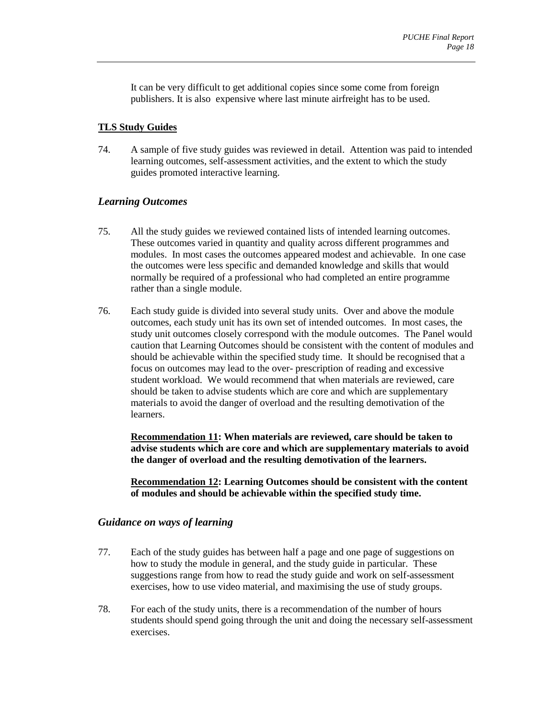It can be very difficult to get additional copies since some come from foreign publishers. It is also expensive where last minute airfreight has to be used.

## <span id="page-19-0"></span>**TLS Study Guides**

74. A sample of five study guides was reviewed in detail. Attention was paid to intended learning outcomes, self-assessment activities, and the extent to which the study guides promoted interactive learning.

## *Learning Outcomes*

- 75. All the study guides we reviewed contained lists of intended learning outcomes. These outcomes varied in quantity and quality across different programmes and modules. In most cases the outcomes appeared modest and achievable. In one case the outcomes were less specific and demanded knowledge and skills that would normally be required of a professional who had completed an entire programme rather than a single module.
- 76. Each study guide is divided into several study units. Over and above the module outcomes, each study unit has its own set of intended outcomes. In most cases, the study unit outcomes closely correspond with the module outcomes. The Panel would caution that Learning Outcomes should be consistent with the content of modules and should be achievable within the specified study time. It should be recognised that a focus on outcomes may lead to the over- prescription of reading and excessive student workload. We would recommend that when materials are reviewed, care should be taken to advise students which are core and which are supplementary materials to avoid the danger of overload and the resulting demotivation of the learners.

**Recommendation 11: When materials are reviewed, care should be taken to advise students which are core and which are supplementary materials to avoid the danger of overload and the resulting demotivation of the learners.** 

**Recommendation 12: Learning Outcomes should be consistent with the content of modules and should be achievable within the specified study time.** 

#### *Guidance on ways of learning*

- 77. Each of the study guides has between half a page and one page of suggestions on how to study the module in general, and the study guide in particular. These suggestions range from how to read the study guide and work on self-assessment exercises, how to use video material, and maximising the use of study groups.
- 78. For each of the study units, there is a recommendation of the number of hours students should spend going through the unit and doing the necessary self-assessment exercises.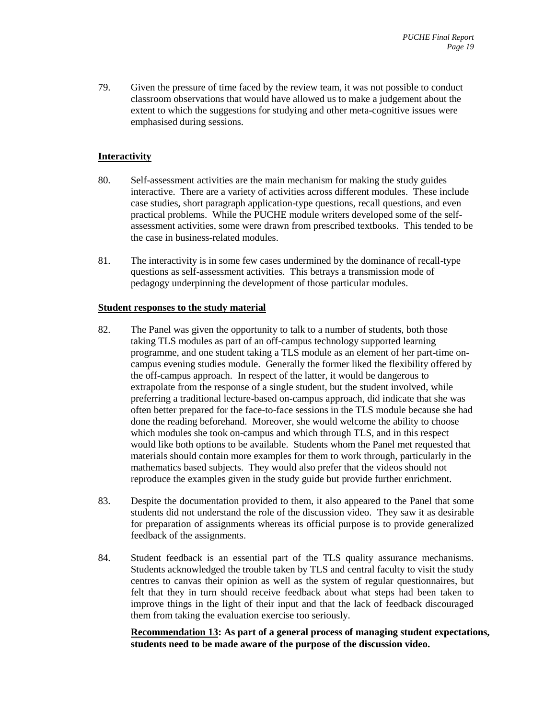79. Given the pressure of time faced by the review team, it was not possible to conduct classroom observations that would have allowed us to make a judgement about the extent to which the suggestions for studying and other meta-cognitive issues were emphasised during sessions.

## <span id="page-20-0"></span>**Interactivity**

- 80. Self-assessment activities are the main mechanism for making the study guides interactive. There are a variety of activities across different modules. These include case studies, short paragraph application-type questions, recall questions, and even practical problems. While the PUCHE module writers developed some of the selfassessment activities, some were drawn from prescribed textbooks. This tended to be the case in business-related modules.
- 81. The interactivity is in some few cases undermined by the dominance of recall-type questions as self-assessment activities. This betrays a transmission mode of pedagogy underpinning the development of those particular modules.

#### <span id="page-20-1"></span>**Student responses to the study material**

- 82. The Panel was given the opportunity to talk to a number of students, both those taking TLS modules as part of an off-campus technology supported learning programme, and one student taking a TLS module as an element of her part-time oncampus evening studies module. Generally the former liked the flexibility offered by the off-campus approach. In respect of the latter, it would be dangerous to extrapolate from the response of a single student, but the student involved, while preferring a traditional lecture-based on-campus approach, did indicate that she was often better prepared for the face-to-face sessions in the TLS module because she had done the reading beforehand. Moreover, she would welcome the ability to choose which modules she took on-campus and which through TLS, and in this respect would like both options to be available. Students whom the Panel met requested that materials should contain more examples for them to work through, particularly in the mathematics based subjects. They would also prefer that the videos should not reproduce the examples given in the study guide but provide further enrichment.
- 83. Despite the documentation provided to them, it also appeared to the Panel that some students did not understand the role of the discussion video. They saw it as desirable for preparation of assignments whereas its official purpose is to provide generalized feedback of the assignments.
- 84. Student feedback is an essential part of the TLS quality assurance mechanisms. Students acknowledged the trouble taken by TLS and central faculty to visit the study centres to canvas their opinion as well as the system of regular questionnaires, but felt that they in turn should receive feedback about what steps had been taken to improve things in the light of their input and that the lack of feedback discouraged them from taking the evaluation exercise too seriously.

**Recommendation 13: As part of a general process of managing student expectations, students need to be made aware of the purpose of the discussion video.**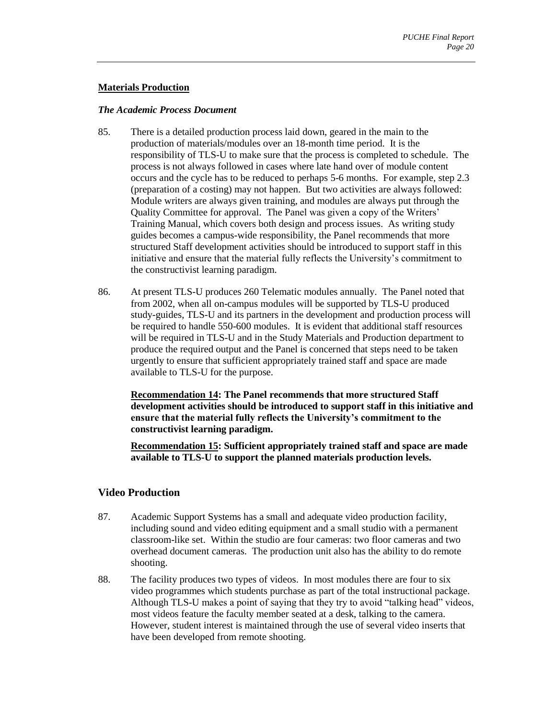#### <span id="page-21-0"></span>**Materials Production**

#### *The Academic Process Document*

- 85. There is a detailed production process laid down, geared in the main to the production of materials/modules over an 18-month time period. It is the responsibility of TLS-U to make sure that the process is completed to schedule. The process is not always followed in cases where late hand over of module content occurs and the cycle has to be reduced to perhaps 5-6 months. For example, step 2.3 (preparation of a costing) may not happen. But two activities are always followed: Module writers are always given training, and modules are always put through the Quality Committee for approval. The Panel was given a copy of the Writers' Training Manual, which covers both design and process issues. As writing study guides becomes a campus-wide responsibility, the Panel recommends that more structured Staff development activities should be introduced to support staff in this initiative and ensure that the material fully reflects the University's commitment to the constructivist learning paradigm.
- 86. At present TLS-U produces 260 Telematic modules annually. The Panel noted that from 2002, when all on-campus modules will be supported by TLS-U produced study-guides, TLS-U and its partners in the development and production process will be required to handle 550-600 modules. It is evident that additional staff resources will be required in TLS-U and in the Study Materials and Production department to produce the required output and the Panel is concerned that steps need to be taken urgently to ensure that sufficient appropriately trained staff and space are made available to TLS-U for the purpose.

**Recommendation 14: The Panel recommends that more structured Staff development activities should be introduced to support staff in this initiative and ensure that the material fully reflects the University's commitment to the constructivist learning paradigm.** 

**Recommendation 15: Sufficient appropriately trained staff and space are made available to TLS-U to support the planned materials production levels.** 

#### <span id="page-21-1"></span>**Video Production**

- 87. Academic Support Systems has a small and adequate video production facility, including sound and video editing equipment and a small studio with a permanent classroom-like set. Within the studio are four cameras: two floor cameras and two overhead document cameras. The production unit also has the ability to do remote shooting.
- 88. The facility produces two types of videos. In most modules there are four to six video programmes which students purchase as part of the total instructional package. Although TLS-U makes a point of saying that they try to avoid "talking head" videos, most videos feature the faculty member seated at a desk, talking to the camera. However, student interest is maintained through the use of several video inserts that have been developed from remote shooting.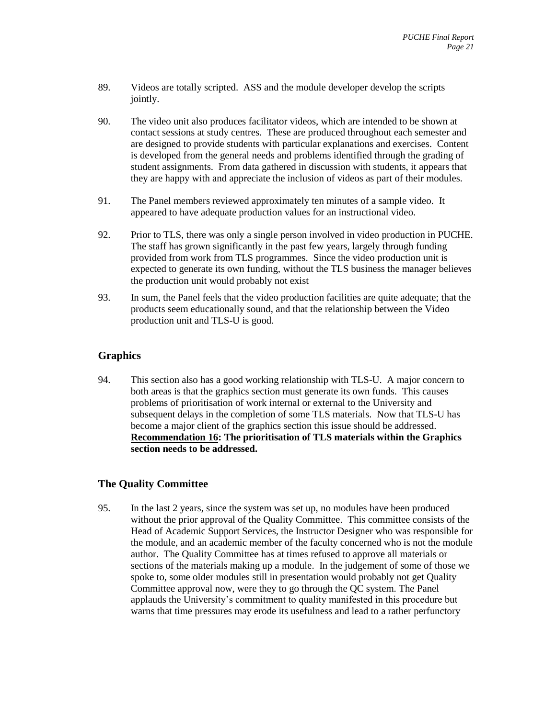- 89. Videos are totally scripted. ASS and the module developer develop the scripts jointly.
- 90. The video unit also produces facilitator videos, which are intended to be shown at contact sessions at study centres. These are produced throughout each semester and are designed to provide students with particular explanations and exercises. Content is developed from the general needs and problems identified through the grading of student assignments. From data gathered in discussion with students, it appears that they are happy with and appreciate the inclusion of videos as part of their modules.
- 91. The Panel members reviewed approximately ten minutes of a sample video. It appeared to have adequate production values for an instructional video.
- 92. Prior to TLS, there was only a single person involved in video production in PUCHE. The staff has grown significantly in the past few years, largely through funding provided from work from TLS programmes. Since the video production unit is expected to generate its own funding, without the TLS business the manager believes the production unit would probably not exist
- 93. In sum, the Panel feels that the video production facilities are quite adequate; that the products seem educationally sound, and that the relationship between the Video production unit and TLS-U is good.

## <span id="page-22-0"></span>**Graphics**

94. This section also has a good working relationship with TLS-U. A major concern to both areas is that the graphics section must generate its own funds. This causes problems of prioritisation of work internal or external to the University and subsequent delays in the completion of some TLS materials. Now that TLS-U has become a major client of the graphics section this issue should be addressed. **Recommendation 16: The prioritisation of TLS materials within the Graphics section needs to be addressed.** 

## <span id="page-22-1"></span>**The Quality Committee**

95. In the last 2 years, since the system was set up, no modules have been produced without the prior approval of the Quality Committee. This committee consists of the Head of Academic Support Services, the Instructor Designer who was responsible for the module, and an academic member of the faculty concerned who is not the module author. The Quality Committee has at times refused to approve all materials or sections of the materials making up a module. In the judgement of some of those we spoke to, some older modules still in presentation would probably not get Quality Committee approval now, were they to go through the QC system. The Panel applauds the University's commitment to quality manifested in this procedure but warns that time pressures may erode its usefulness and lead to a rather perfunctory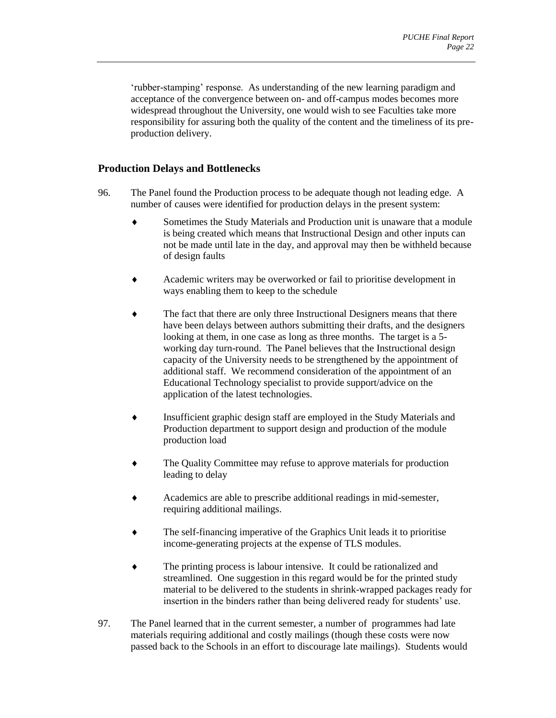'rubber-stamping' response. As understanding of the new learning paradigm and acceptance of the convergence between on- and off-campus modes becomes more widespread throughout the University, one would wish to see Faculties take more responsibility for assuring both the quality of the content and the timeliness of its preproduction delivery.

## <span id="page-23-0"></span>**Production Delays and Bottlenecks**

- 96. The Panel found the Production process to be adequate though not leading edge. A number of causes were identified for production delays in the present system:
	- Sometimes the Study Materials and Production unit is unaware that a module is being created which means that Instructional Design and other inputs can not be made until late in the day, and approval may then be withheld because of design faults
	- Academic writers may be overworked or fail to prioritise development in ways enabling them to keep to the schedule
	- The fact that there are only three Instructional Designers means that there have been delays between authors submitting their drafts, and the designers looking at them, in one case as long as three months. The target is a 5 working day turn-round. The Panel believes that the Instructional design capacity of the University needs to be strengthened by the appointment of additional staff. We recommend consideration of the appointment of an Educational Technology specialist to provide support/advice on the application of the latest technologies.
	- Insufficient graphic design staff are employed in the Study Materials and Production department to support design and production of the module production load
	- The Quality Committee may refuse to approve materials for production leading to delay
	- Academics are able to prescribe additional readings in mid-semester, requiring additional mailings.
	- The self-financing imperative of the Graphics Unit leads it to prioritise income-generating projects at the expense of TLS modules.
	- The printing process is labour intensive. It could be rationalized and streamlined. One suggestion in this regard would be for the printed study material to be delivered to the students in shrink-wrapped packages ready for insertion in the binders rather than being delivered ready for students' use.
- 97. The Panel learned that in the current semester, a number of programmes had late materials requiring additional and costly mailings (though these costs were now passed back to the Schools in an effort to discourage late mailings). Students would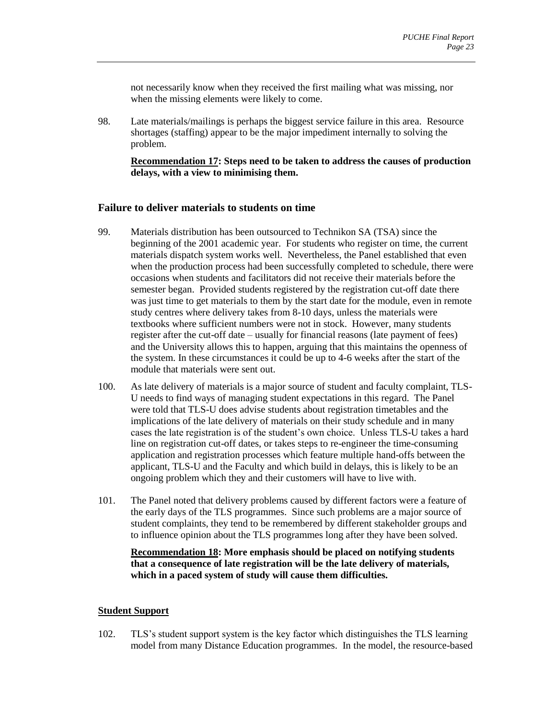not necessarily know when they received the first mailing what was missing, nor when the missing elements were likely to come.

98. Late materials/mailings is perhaps the biggest service failure in this area. Resource shortages (staffing) appear to be the major impediment internally to solving the problem.

**Recommendation 17: Steps need to be taken to address the causes of production delays, with a view to minimising them.** 

#### <span id="page-24-0"></span>**Failure to deliver materials to students on time**

- 99. Materials distribution has been outsourced to Technikon SA (TSA) since the beginning of the 2001 academic year. For students who register on time, the current materials dispatch system works well. Nevertheless, the Panel established that even when the production process had been successfully completed to schedule, there were occasions when students and facilitators did not receive their materials before the semester began. Provided students registered by the registration cut-off date there was just time to get materials to them by the start date for the module, even in remote study centres where delivery takes from 8-10 days, unless the materials were textbooks where sufficient numbers were not in stock. However, many students register after the cut-off date – usually for financial reasons (late payment of fees) and the University allows this to happen, arguing that this maintains the openness of the system. In these circumstances it could be up to 4-6 weeks after the start of the module that materials were sent out.
- 100. As late delivery of materials is a major source of student and faculty complaint, TLS-U needs to find ways of managing student expectations in this regard. The Panel were told that TLS-U does advise students about registration timetables and the implications of the late delivery of materials on their study schedule and in many cases the late registration is of the student's own choice. Unless TLS-U takes a hard line on registration cut-off dates, or takes steps to re-engineer the time-consuming application and registration processes which feature multiple hand-offs between the applicant, TLS-U and the Faculty and which build in delays, this is likely to be an ongoing problem which they and their customers will have to live with.
- 101. The Panel noted that delivery problems caused by different factors were a feature of the early days of the TLS programmes. Since such problems are a major source of student complaints, they tend to be remembered by different stakeholder groups and to influence opinion about the TLS programmes long after they have been solved.

**Recommendation 18: More emphasis should be placed on notifying students that a consequence of late registration will be the late delivery of materials, which in a paced system of study will cause them difficulties.** 

#### <span id="page-24-1"></span>**Student Support**

102. TLS's student support system is the key factor which distinguishes the TLS learning model from many Distance Education programmes. In the model, the resource-based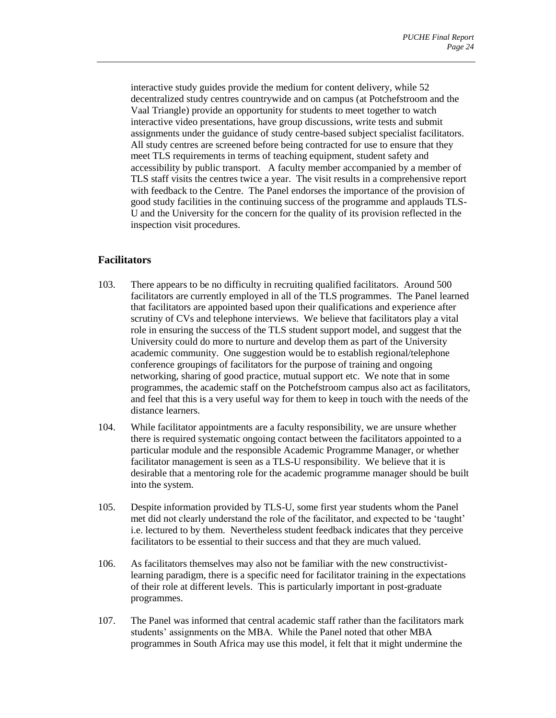interactive study guides provide the medium for content delivery, while 52 decentralized study centres countrywide and on campus (at Potchefstroom and the Vaal Triangle) provide an opportunity for students to meet together to watch interactive video presentations, have group discussions, write tests and submit assignments under the guidance of study centre-based subject specialist facilitators. All study centres are screened before being contracted for use to ensure that they meet TLS requirements in terms of teaching equipment, student safety and accessibility by public transport. A faculty member accompanied by a member of TLS staff visits the centres twice a year. The visit results in a comprehensive report with feedback to the Centre. The Panel endorses the importance of the provision of good study facilities in the continuing success of the programme and applauds TLS-U and the University for the concern for the quality of its provision reflected in the inspection visit procedures.

## <span id="page-25-0"></span>**Facilitators**

- 103. There appears to be no difficulty in recruiting qualified facilitators. Around 500 facilitators are currently employed in all of the TLS programmes. The Panel learned that facilitators are appointed based upon their qualifications and experience after scrutiny of CVs and telephone interviews. We believe that facilitators play a vital role in ensuring the success of the TLS student support model, and suggest that the University could do more to nurture and develop them as part of the University academic community. One suggestion would be to establish regional/telephone conference groupings of facilitators for the purpose of training and ongoing networking, sharing of good practice, mutual support etc. We note that in some programmes, the academic staff on the Potchefstroom campus also act as facilitators, and feel that this is a very useful way for them to keep in touch with the needs of the distance learners.
- 104. While facilitator appointments are a faculty responsibility, we are unsure whether there is required systematic ongoing contact between the facilitators appointed to a particular module and the responsible Academic Programme Manager, or whether facilitator management is seen as a TLS-U responsibility. We believe that it is desirable that a mentoring role for the academic programme manager should be built into the system.
- 105. Despite information provided by TLS-U, some first year students whom the Panel met did not clearly understand the role of the facilitator, and expected to be 'taught' i.e. lectured to by them. Nevertheless student feedback indicates that they perceive facilitators to be essential to their success and that they are much valued.
- 106. As facilitators themselves may also not be familiar with the new constructivistlearning paradigm, there is a specific need for facilitator training in the expectations of their role at different levels. This is particularly important in post-graduate programmes.
- 107. The Panel was informed that central academic staff rather than the facilitators mark students' assignments on the MBA. While the Panel noted that other MBA programmes in South Africa may use this model, it felt that it might undermine the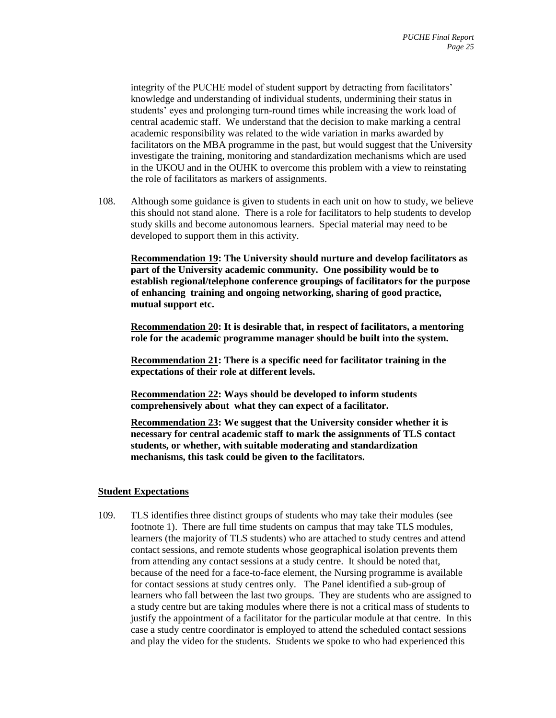integrity of the PUCHE model of student support by detracting from facilitators' knowledge and understanding of individual students, undermining their status in students' eyes and prolonging turn-round times while increasing the work load of central academic staff. We understand that the decision to make marking a central academic responsibility was related to the wide variation in marks awarded by facilitators on the MBA programme in the past, but would suggest that the University investigate the training, monitoring and standardization mechanisms which are used in the UKOU and in the OUHK to overcome this problem with a view to reinstating the role of facilitators as markers of assignments.

108. Although some guidance is given to students in each unit on how to study, we believe this should not stand alone. There is a role for facilitators to help students to develop study skills and become autonomous learners. Special material may need to be developed to support them in this activity.

**Recommendation 19: The University should nurture and develop facilitators as part of the University academic community. One possibility would be to establish regional/telephone conference groupings of facilitators for the purpose of enhancing training and ongoing networking, sharing of good practice, mutual support etc.** 

**Recommendation 20: It is desirable that, in respect of facilitators, a mentoring role for the academic programme manager should be built into the system.** 

**Recommendation 21: There is a specific need for facilitator training in the expectations of their role at different levels.** 

**Recommendation 22: Ways should be developed to inform students comprehensively about what they can expect of a facilitator.** 

**Recommendation 23: We suggest that the University consider whether it is necessary for central academic staff to mark the assignments of TLS contact students, or whether, with suitable moderating and standardization mechanisms, this task could be given to the facilitators.** 

#### <span id="page-26-0"></span>**Student Expectations**

109. TLS identifies three distinct groups of students who may take their modules (see footnote 1). There are full time students on campus that may take TLS modules, learners (the majority of TLS students) who are attached to study centres and attend contact sessions, and remote students whose geographical isolation prevents them from attending any contact sessions at a study centre. It should be noted that, because of the need for a face-to-face element, the Nursing programme is available for contact sessions at study centres only. The Panel identified a sub-group of learners who fall between the last two groups. They are students who are assigned to a study centre but are taking modules where there is not a critical mass of students to justify the appointment of a facilitator for the particular module at that centre. In this case a study centre coordinator is employed to attend the scheduled contact sessions and play the video for the students. Students we spoke to who had experienced this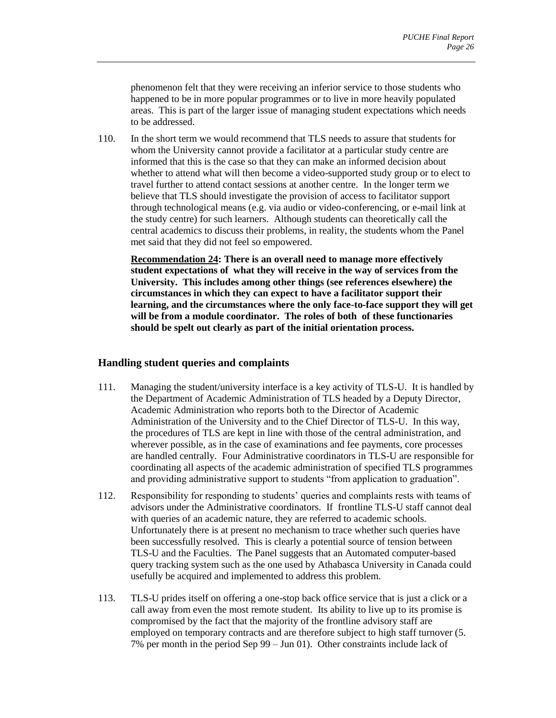phenomenon felt that they were receiving an inferior service to those students who happened to be in more popular programmes or to live in more heavily populated areas. This is part of the larger issue of managing student expectations which needs to be addressed.

110. In the short term we would recommend that TLS needs to assure that students for whom the University cannot provide a facilitator at a particular study centre are informed that this is the case so that they can make an informed decision about whether to attend what will then become a video-supported study group or to elect to travel further to attend contact sessions at another centre. In the longer term we believe that TLS should investigate the provision of access to facilitator support through technological means (e.g. via audio or video-conferencing, or e-mail link at the study centre) for such learners. Although students can theoretically call the central academics to discuss their problems, in reality, the students whom the Panel met said that they did not feel so empowered.

**Recommendation 24: There is an overall need to manage more effectively student expectations of what they will receive in the way of services from the University. This includes among other things (see references elsewhere) the circumstances in which they can expect to have a facilitator support their learning, and the circumstances where the only face-to-face support they will get will be from a module coordinator. The roles of both of these functionaries should be spelt out clearly as part of the initial orientation process.** 

## <span id="page-27-0"></span>**Handling student queries and complaints**

- 111. Managing the student/university interface is a key activity of TLS-U. It is handled by the Department of Academic Administration of TLS headed by a Deputy Director, Academic Administration who reports both to the Director of Academic Administration of the University and to the Chief Director of TLS-U. In this way, the procedures of TLS are kept in line with those of the central administration, and wherever possible, as in the case of examinations and fee payments, core processes are handled centrally. Four Administrative coordinators in TLS-U are responsible for coordinating all aspects of the academic administration of specified TLS programmes and providing administrative support to students "from application to graduation".
- 112. Responsibility for responding to students' queries and complaints rests with teams of advisors under the Administrative coordinators. If frontline TLS-U staff cannot deal with queries of an academic nature, they are referred to academic schools. Unfortunately there is at present no mechanism to trace whether such queries have been successfully resolved. This is clearly a potential source of tension between TLS-U and the Faculties. The Panel suggests that an Automated computer-based query tracking system such as the one used by Athabasca University in Canada could usefully be acquired and implemented to address this problem.
- 113. TLS-U prides itself on offering a one-stop back office service that is just a click or a call away from even the most remote student. Its ability to live up to its promise is compromised by the fact that the majority of the frontline advisory staff are employed on temporary contracts and are therefore subject to high staff turnover (5. 7% per month in the period Sep 99 – Jun 01). Other constraints include lack of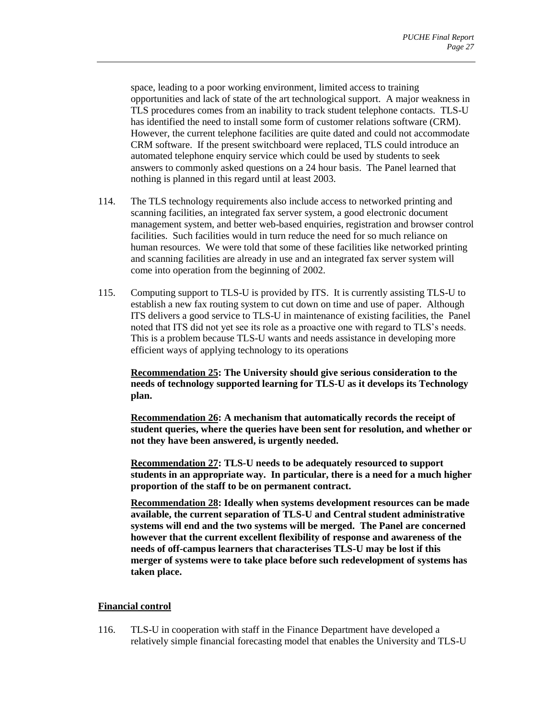space, leading to a poor working environment, limited access to training opportunities and lack of state of the art technological support. A major weakness in TLS procedures comes from an inability to track student telephone contacts. TLS-U has identified the need to install some form of customer relations software (CRM). However, the current telephone facilities are quite dated and could not accommodate CRM software. If the present switchboard were replaced, TLS could introduce an automated telephone enquiry service which could be used by students to seek answers to commonly asked questions on a 24 hour basis. The Panel learned that nothing is planned in this regard until at least 2003.

- 114. The TLS technology requirements also include access to networked printing and scanning facilities, an integrated fax server system, a good electronic document management system, and better web-based enquiries, registration and browser control facilities. Such facilities would in turn reduce the need for so much reliance on human resources. We were told that some of these facilities like networked printing and scanning facilities are already in use and an integrated fax server system will come into operation from the beginning of 2002.
- 115. Computing support to TLS-U is provided by ITS. It is currently assisting TLS-U to establish a new fax routing system to cut down on time and use of paper. Although ITS delivers a good service to TLS-U in maintenance of existing facilities, the Panel noted that ITS did not yet see its role as a proactive one with regard to TLS's needs. This is a problem because TLS-U wants and needs assistance in developing more efficient ways of applying technology to its operations

**Recommendation 25: The University should give serious consideration to the needs of technology supported learning for TLS-U as it develops its Technology plan.** 

**Recommendation 26: A mechanism that automatically records the receipt of student queries, where the queries have been sent for resolution, and whether or not they have been answered, is urgently needed.** 

**Recommendation 27: TLS-U needs to be adequately resourced to support students in an appropriate way. In particular, there is a need for a much higher proportion of the staff to be on permanent contract.** 

**Recommendation 28: Ideally when systems development resources can be made available, the current separation of TLS-U and Central student administrative systems will end and the two systems will be merged. The Panel are concerned however that the current excellent flexibility of response and awareness of the needs of off-campus learners that characterises TLS-U may be lost if this merger of systems were to take place before such redevelopment of systems has taken place.** 

#### <span id="page-28-0"></span>**Financial control**

116. TLS-U in cooperation with staff in the Finance Department have developed a relatively simple financial forecasting model that enables the University and TLS-U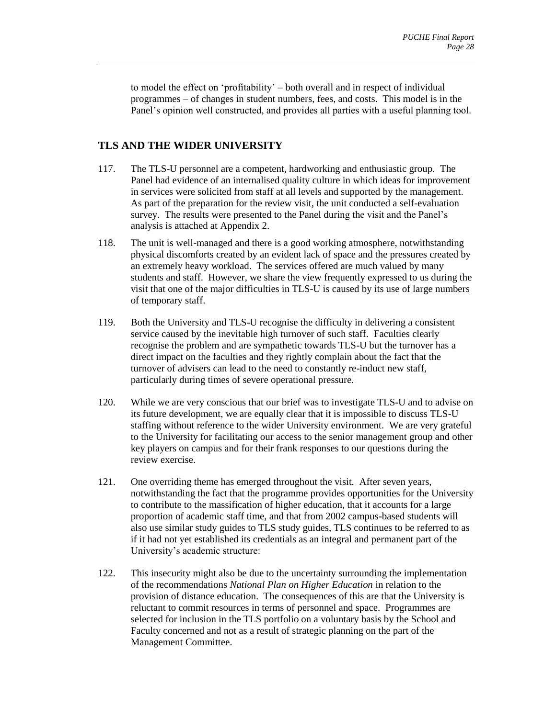to model the effect on 'profitability' – both overall and in respect of individual programmes – of changes in student numbers, fees, and costs. This model is in the Panel's opinion well constructed, and provides all parties with a useful planning tool.

## <span id="page-29-0"></span>**TLS AND THE WIDER UNIVERSITY**

- 117. The TLS-U personnel are a competent, hardworking and enthusiastic group. The Panel had evidence of an internalised quality culture in which ideas for improvement in services were solicited from staff at all levels and supported by the management. As part of the preparation for the review visit, the unit conducted a self-evaluation survey. The results were presented to the Panel during the visit and the Panel's analysis is attached at Appendix 2.
- 118. The unit is well-managed and there is a good working atmosphere, notwithstanding physical discomforts created by an evident lack of space and the pressures created by an extremely heavy workload. The services offered are much valued by many students and staff. However, we share the view frequently expressed to us during the visit that one of the major difficulties in TLS-U is caused by its use of large numbers of temporary staff.
- 119. Both the University and TLS-U recognise the difficulty in delivering a consistent service caused by the inevitable high turnover of such staff. Faculties clearly recognise the problem and are sympathetic towards TLS-U but the turnover has a direct impact on the faculties and they rightly complain about the fact that the turnover of advisers can lead to the need to constantly re-induct new staff, particularly during times of severe operational pressure.
- 120. While we are very conscious that our brief was to investigate TLS-U and to advise on its future development, we are equally clear that it is impossible to discuss TLS-U staffing without reference to the wider University environment. We are very grateful to the University for facilitating our access to the senior management group and other key players on campus and for their frank responses to our questions during the review exercise.
- 121. One overriding theme has emerged throughout the visit. After seven years, notwithstanding the fact that the programme provides opportunities for the University to contribute to the massification of higher education, that it accounts for a large proportion of academic staff time, and that from 2002 campus-based students will also use similar study guides to TLS study guides, TLS continues to be referred to as if it had not yet established its credentials as an integral and permanent part of the University's academic structure:
- 122. This insecurity might also be due to the uncertainty surrounding the implementation of the recommendations *National Plan on Higher Education* in relation to the provision of distance education. The consequences of this are that the University is reluctant to commit resources in terms of personnel and space. Programmes are selected for inclusion in the TLS portfolio on a voluntary basis by the School and Faculty concerned and not as a result of strategic planning on the part of the Management Committee.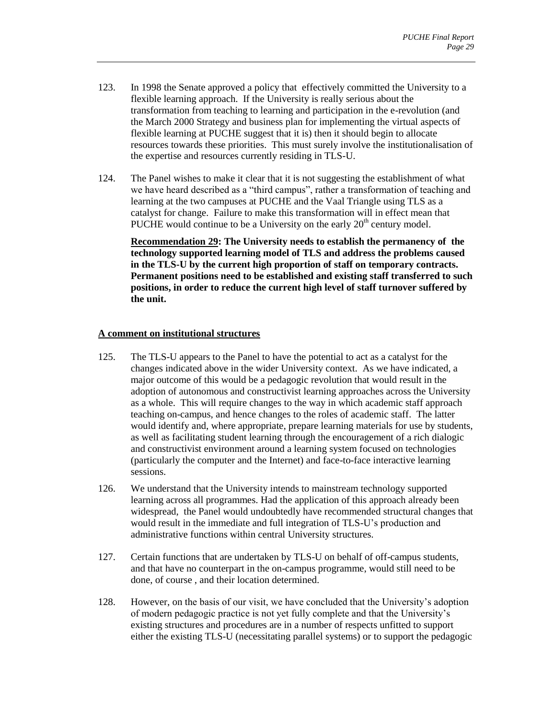- 123. In 1998 the Senate approved a policy that effectively committed the University to a flexible learning approach. If the University is really serious about the transformation from teaching to learning and participation in the e-revolution (and the March 2000 Strategy and business plan for implementing the virtual aspects of flexible learning at PUCHE suggest that it is) then it should begin to allocate resources towards these priorities. This must surely involve the institutionalisation of the expertise and resources currently residing in TLS-U.
- 124. The Panel wishes to make it clear that it is not suggesting the establishment of what we have heard described as a "third campus", rather a transformation of teaching and learning at the two campuses at PUCHE and the Vaal Triangle using TLS as a catalyst for change. Failure to make this transformation will in effect mean that PUCHE would continue to be a University on the early  $20<sup>th</sup>$  century model.

**Recommendation 29: The University needs to establish the permanency of the technology supported learning model of TLS and address the problems caused in the TLS-U by the current high proportion of staff on temporary contracts. Permanent positions need to be established and existing staff transferred to such positions, in order to reduce the current high level of staff turnover suffered by the unit.** 

#### <span id="page-30-0"></span>**A comment on institutional structures**

- 125. The TLS-U appears to the Panel to have the potential to act as a catalyst for the changes indicated above in the wider University context. As we have indicated, a major outcome of this would be a pedagogic revolution that would result in the adoption of autonomous and constructivist learning approaches across the University as a whole. This will require changes to the way in which academic staff approach teaching on-campus, and hence changes to the roles of academic staff. The latter would identify and, where appropriate, prepare learning materials for use by students, as well as facilitating student learning through the encouragement of a rich dialogic and constructivist environment around a learning system focused on technologies (particularly the computer and the Internet) and face-to-face interactive learning sessions.
- 126. We understand that the University intends to mainstream technology supported learning across all programmes. Had the application of this approach already been widespread, the Panel would undoubtedly have recommended structural changes that would result in the immediate and full integration of TLS-U's production and administrative functions within central University structures.
- 127. Certain functions that are undertaken by TLS-U on behalf of off-campus students, and that have no counterpart in the on-campus programme, would still need to be done, of course , and their location determined.
- 128. However, on the basis of our visit, we have concluded that the University's adoption of modern pedagogic practice is not yet fully complete and that the University's existing structures and procedures are in a number of respects unfitted to support either the existing TLS-U (necessitating parallel systems) or to support the pedagogic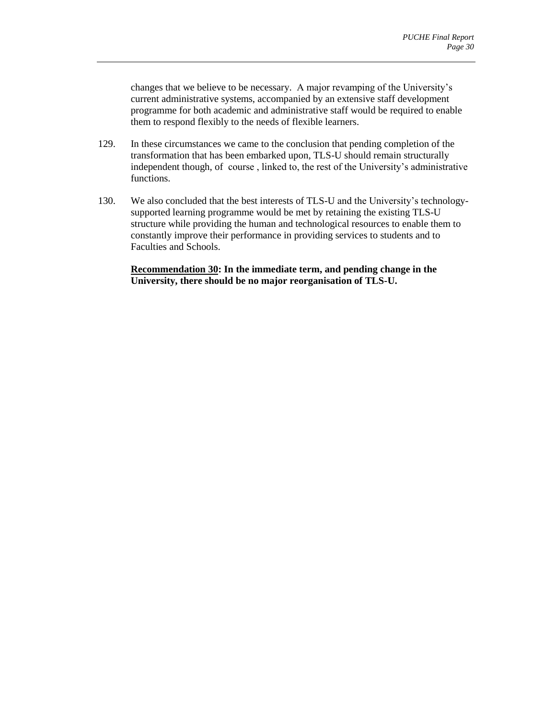changes that we believe to be necessary. A major revamping of the University's current administrative systems, accompanied by an extensive staff development programme for both academic and administrative staff would be required to enable them to respond flexibly to the needs of flexible learners.

- 129. In these circumstances we came to the conclusion that pending completion of the transformation that has been embarked upon, TLS-U should remain structurally independent though, of course , linked to, the rest of the University's administrative functions.
- 130. We also concluded that the best interests of TLS-U and the University's technologysupported learning programme would be met by retaining the existing TLS-U structure while providing the human and technological resources to enable them to constantly improve their performance in providing services to students and to Faculties and Schools.

**Recommendation 30: In the immediate term, and pending change in the University, there should be no major reorganisation of TLS-U.**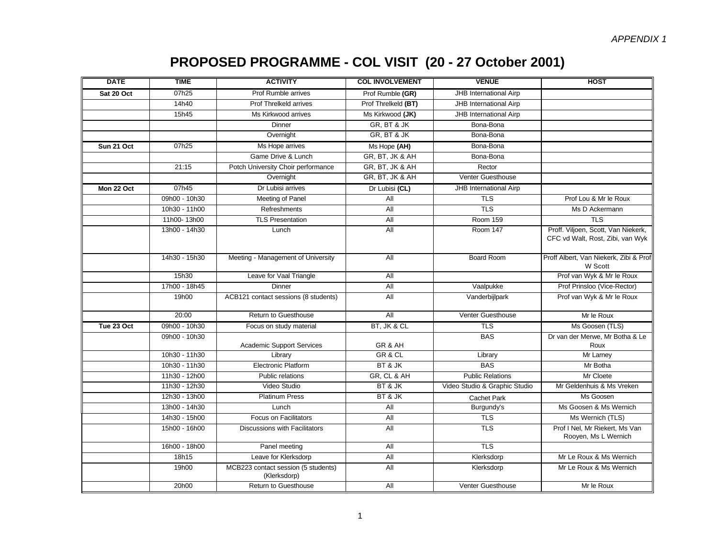# **PROPOSED PROGRAMME - COL VISIT (20 - 27 October 2001)**

| <b>DATE</b> | <b>TIME</b>   | <b>ACTIVITY</b>                                     | <b>COL INVOLVEMENT</b> | <b>VENUE</b>                  | <b>HOST</b>                                                             |
|-------------|---------------|-----------------------------------------------------|------------------------|-------------------------------|-------------------------------------------------------------------------|
| Sat 20 Oct  | 07h25         | Prof Rumble arrives                                 | Prof Rumble (GR)       | JHB International Airp        |                                                                         |
|             | 14h40         | Prof Threlkeld arrives                              | Prof Threlkeld (BT)    | JHB International Airp        |                                                                         |
|             | 15h45         | Ms Kirkwood arrives                                 | Ms Kirkwood (JK)       | JHB International Airp        |                                                                         |
|             |               | Dinner                                              | GR, BT & JK            | Bona-Bona                     |                                                                         |
|             |               | Overnight                                           | GR, BT & JK            | Bona-Bona                     |                                                                         |
| Sun 21 Oct  | 07h25         | Ms Hope arrives                                     | Ms Hope (AH)           | Bona-Bona                     |                                                                         |
|             |               | Game Drive & Lunch                                  | GR, BT, JK & AH        | Bona-Bona                     |                                                                         |
|             | 21:15         | Potch University Choir performance                  | GR, BT, JK & AH        | Rector                        |                                                                         |
|             |               | Overnight                                           | GR, BT, JK & AH        | <b>Venter Guesthouse</b>      |                                                                         |
| Mon 22 Oct  | 07h45         | Dr Lubisi arrives                                   | Dr Lubisi (CL)         | JHB International Airp        |                                                                         |
|             | 09h00 - 10h30 | Meeting of Panel                                    | All                    | <b>TLS</b>                    | Prof Lou & Mr le Roux                                                   |
|             | 10h30 - 11h00 | Refreshments                                        | <b>All</b>             | <b>TLS</b>                    | Ms D Ackermann                                                          |
|             | 11h00-13h00   | <b>TLS Presentation</b>                             | All                    | <b>Room 159</b>               | <b>TLS</b>                                                              |
|             | 13h00 - 14h30 | Lunch                                               | All                    | Room 147                      | Proff. Viljoen, Scott, Van Niekerk,<br>CFC vd Walt, Rost, Zibi, van Wyk |
|             | 14h30 - 15h30 | Meeting - Management of University                  | All                    | <b>Board Room</b>             | Proff Albert, Van Niekerk, Zibi & Prof<br>W Scott                       |
|             | 15h30         | Leave for Vaal Triangle                             | <b>All</b>             |                               | Prof van Wyk & Mr le Roux                                               |
|             | 17h00 - 18h45 | Dinner                                              | All                    | Vaalpukke                     | Prof Prinsloo (Vice-Rector)                                             |
|             | 19h00         | ACB121 contact sessions (8 students)                | <b>All</b>             | Vanderbijlpark                | Prof van Wyk & Mr le Roux                                               |
|             | 20:00         | Return to Guesthouse                                | All                    | Venter Guesthouse             | Mr le Roux                                                              |
| Tue 23 Oct  | 09h00 - 10h30 | Focus on study material                             | BT, JK & CL            | <b>TLS</b>                    | Ms Goosen (TLS)                                                         |
|             | 09h00 - 10h30 | <b>Academic Support Services</b>                    | GR&AH                  | <b>BAS</b>                    | Dr van der Merwe, Mr Botha & Le<br>Roux                                 |
|             | 10h30 - 11h30 | Library                                             | GR & CL                | Library                       | Mr Larney                                                               |
|             | 10h30 - 11h30 | <b>Electronic Platform</b>                          | BT & JK                | <b>BAS</b>                    | Mr Botha                                                                |
|             | 11h30 - 12h00 | Public relations                                    | GR, CL & AH            | <b>Public Relations</b>       | Mr Cloete                                                               |
|             | 11h30 - 12h30 | Video Studio                                        | BT & JK                | Video Studio & Graphic Studio | Mr Geldenhuis & Ms Vreken                                               |
|             | 12h30 - 13h00 | <b>Platinum Press</b>                               | BT & JK                | <b>Cachet Park</b>            | Ms Goosen                                                               |
|             | 13h00 - 14h30 | Lunch                                               | All                    | Burgundy's                    | Ms Goosen & Ms Wernich                                                  |
|             | 14h30 - 15h00 | Focus on Facilitators                               | All                    | <b>TLS</b>                    | Ms Wernich (TLS)                                                        |
|             | 15h00 - 16h00 | Discussions with Facilitators                       | All                    | <b>TLS</b>                    | Prof I Nel, Mr Riekert, Ms Van<br>Rooyen, Ms L Wernich                  |
|             | 16h00 - 18h00 | Panel meeting                                       | All                    | <b>TLS</b>                    |                                                                         |
|             | 18h15         | Leave for Klerksdorp                                | <b>All</b>             | Klerksdorp                    | Mr Le Roux & Ms Wernich                                                 |
|             | 19h00         | MCB223 contact session (5 students)<br>(Klerksdorp) | All                    | Klerksdorp                    | Mr Le Roux & Ms Wernich                                                 |
|             | 20h00         | Return to Guesthouse                                | All                    | <b>Venter Guesthouse</b>      | Mr le Roux                                                              |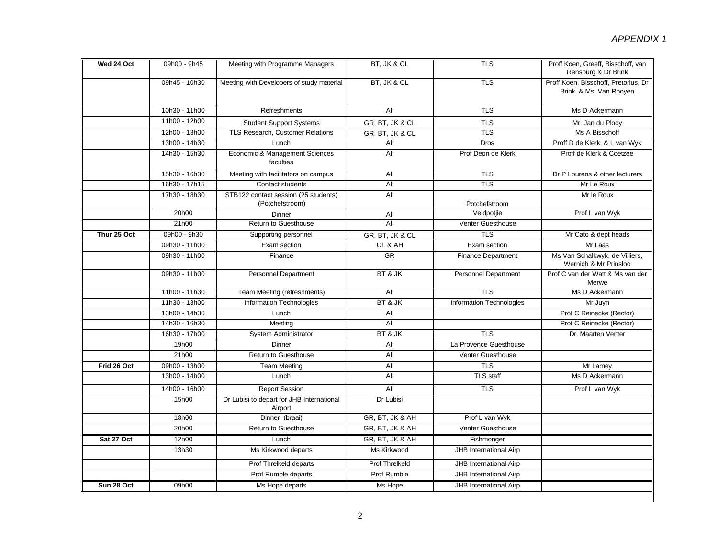| Wed 24 Oct  | 09h00 - 9h45  | Meeting with Programme Managers                         | BT, JK & CL           | TLS                           | Proff Koen, Greeff, Bisschoff, van<br>Rensburg & Dr Brink       |
|-------------|---------------|---------------------------------------------------------|-----------------------|-------------------------------|-----------------------------------------------------------------|
|             | 09h45 - 10h30 | Meeting with Developers of study material               | BT, JK & CL           | <b>TLS</b>                    | Proff Koen, Bisschoff, Pretorius, Dr<br>Brink, & Ms. Van Rooyen |
|             | 10h30 - 11h00 | Refreshments                                            | All                   | <b>TLS</b>                    | Ms D Ackermann                                                  |
|             | 11h00 - 12h00 | <b>Student Support Systems</b>                          | GR, BT, JK & CL       | <b>TLS</b>                    | Mr. Jan du Plooy                                                |
|             | 12h00 - 13h00 | TLS Research, Customer Relations                        | GR, BT, JK & CL       | <b>TLS</b>                    | Ms A Bisschoff                                                  |
|             | 13h00 - 14h30 | Lunch                                                   | All                   | <b>Dros</b>                   | Proff D de Klerk, & L van Wyk                                   |
|             | 14h30 - 15h30 | Economic & Management Sciences<br>faculties             | All                   | Prof Deon de Klerk            | Proff de Klerk & Coetzee                                        |
|             | 15h30 - 16h30 | Meeting with facilitators on campus                     | All                   | TLS                           | Dr P Lourens & other lecturers                                  |
|             | 16h30 - 17h15 | Contact students                                        | All                   | <b>TLS</b>                    | Mr Le Roux                                                      |
|             | 17h30 - 18h30 | STB122 contact session (25 students)<br>(Potchefstroom) | All                   | Potchefstroom                 | Mr le Roux                                                      |
|             | 20h00         | Dinner                                                  | All                   | Veldpotjie                    | Prof L van Wyk                                                  |
|             | 21h00         | Return to Guesthouse                                    | All                   | Venter Guesthouse             |                                                                 |
| Thur 25 Oct | 09h00 - 9h30  | Supporting personnel                                    | GR, BT, JK & CL       | <b>TLS</b>                    | Mr Cato & dept heads                                            |
|             | 09h30 - 11h00 | Exam section                                            | CL & AH               | Exam section                  | Mr Laas                                                         |
|             | 09h30 - 11h00 | Finance                                                 | <b>GR</b>             | <b>Finance Department</b>     | Ms Van Schalkwyk, de Villiers,<br>Wernich & Mr Prinsloo         |
|             | 09h30 - 11h00 | <b>Personnel Department</b>                             | BT & JK               | <b>Personnel Department</b>   | Prof C van der Watt & Ms van der<br>Merwe                       |
|             | 11h00 - 11h30 | Team Meeting (refreshments)                             | All                   | <b>TLS</b>                    | Ms D Ackermann                                                  |
|             | 11h30 - 13h00 | Information Technologies                                | BT & JK               | Information Technologies      | Mr Juyn                                                         |
|             | 13h00 - 14h30 | Lunch                                                   | All                   |                               | Prof C Reinecke (Rector)                                        |
|             | 14h30 - 16h30 | Meeting                                                 | <b>All</b>            |                               | Prof C Reinecke (Rector)                                        |
|             | 16h30 - 17h00 | System Administrator                                    | BT & JK               | <b>TLS</b>                    | Dr. Maarten Venter                                              |
|             | 19h00         | Dinner                                                  | All                   | La Provence Guesthouse        |                                                                 |
|             | 21h00         | Return to Guesthouse                                    | All                   | Venter Guesthouse             |                                                                 |
| Frid 26 Oct | 09h00 - 13h00 | <b>Team Meeting</b>                                     | All                   | TLS                           | Mr Larney                                                       |
|             | 13h00 - 14h00 | Lunch                                                   | All                   | <b>TLS staff</b>              | Ms D Ackermann                                                  |
|             | 14h00 - 16h00 | <b>Report Session</b>                                   | <b>All</b>            | $\overline{TLS}$              | Prof L van Wyk                                                  |
|             | 15h00         | Dr Lubisi to depart for JHB International<br>Airport    | Dr Lubisi             |                               |                                                                 |
|             | 18h00         | Dinner (braai)                                          | GR, BT, JK & AH       | Prof L van Wyk                |                                                                 |
|             | 20h00         | Return to Guesthouse                                    | GR, BT, JK & AH       | Venter Guesthouse             |                                                                 |
| Sat 27 Oct  | 12h00         | Lunch                                                   | GR, BT, JK & AH       | Fishmonger                    |                                                                 |
|             | 13h30         | Ms Kirkwood departs                                     | Ms Kirkwood           | JHB International Airp        |                                                                 |
|             |               | Prof Threlkeld departs                                  | <b>Prof Threlkeld</b> | JHB International Airp        |                                                                 |
|             |               | Prof Rumble departs                                     | Prof Rumble           | <b>JHB International Airp</b> |                                                                 |
| Sun 28 Oct  | 09h00         | Ms Hope departs                                         | Ms Hope               | JHB International Airp        |                                                                 |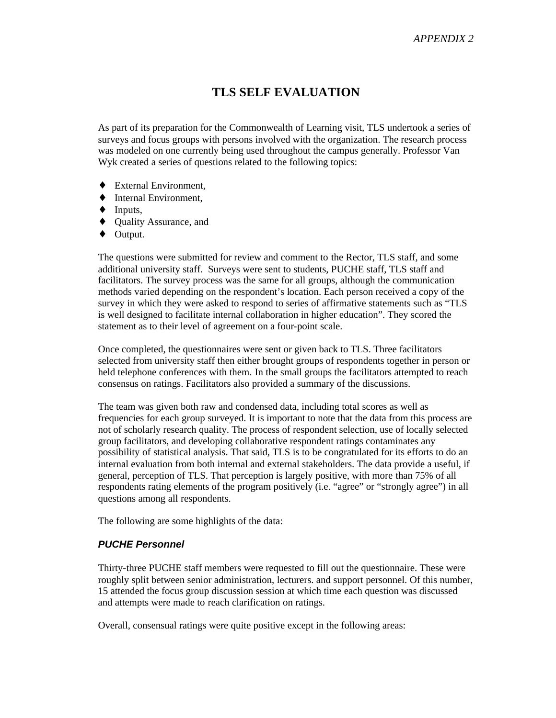## **TLS SELF EVALUATION**

As part of its preparation for the Commonwealth of Learning visit, TLS undertook a series of surveys and focus groups with persons involved with the organization. The research process was modeled on one currently being used throughout the campus generally. Professor Van Wyk created a series of questions related to the following topics:

- ♦ External Environment,
- ♦ Internal Environment,
- $\blacklozenge$  Inputs,
- ♦ Quality Assurance, and
- ♦ Output.

The questions were submitted for review and comment to the Rector, TLS staff, and some additional university staff. Surveys were sent to students, PUCHE staff, TLS staff and facilitators. The survey process was the same for all groups, although the communication methods varied depending on the respondent's location. Each person received a copy of the survey in which they were asked to respond to series of affirmative statements such as "TLS is well designed to facilitate internal collaboration in higher education". They scored the statement as to their level of agreement on a four-point scale.

Once completed, the questionnaires were sent or given back to TLS. Three facilitators selected from university staff then either brought groups of respondents together in person or held telephone conferences with them. In the small groups the facilitators attempted to reach consensus on ratings. Facilitators also provided a summary of the discussions.

The team was given both raw and condensed data, including total scores as well as frequencies for each group surveyed. It is important to note that the data from this process are not of scholarly research quality. The process of respondent selection, use of locally selected group facilitators, and developing collaborative respondent ratings contaminates any possibility of statistical analysis. That said, TLS is to be congratulated for its efforts to do an internal evaluation from both internal and external stakeholders. The data provide a useful, if general, perception of TLS. That perception is largely positive, with more than 75% of all respondents rating elements of the program positively (i.e. "agree" or "strongly agree") in all questions among all respondents.

The following are some highlights of the data:

#### *PUCHE Personnel*

Thirty-three PUCHE staff members were requested to fill out the questionnaire. These were roughly split between senior administration, lecturers. and support personnel. Of this number, 15 attended the focus group discussion session at which time each question was discussed and attempts were made to reach clarification on ratings.

Overall, consensual ratings were quite positive except in the following areas: